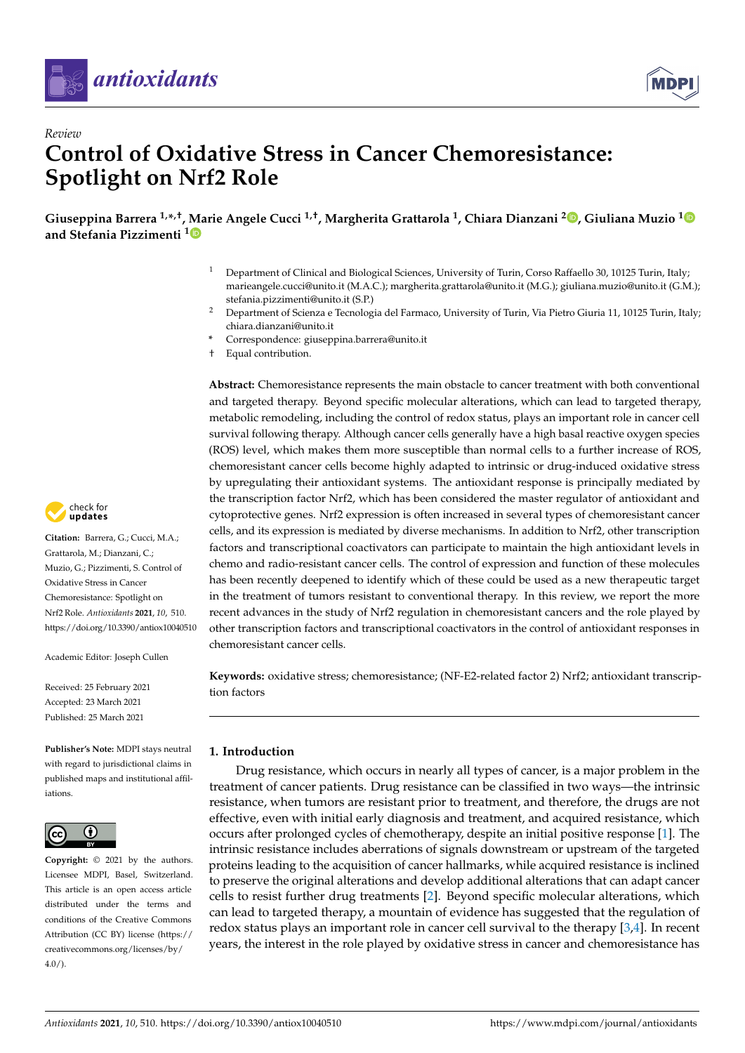



# *Review* **Control of Oxidative Stress in Cancer Chemoresistance: Spotlight on Nrf2 Role**

**Giuseppina Barrera 1,\* ,†, Marie Angele Cucci 1,†, Margherita Grattarola <sup>1</sup> , Chiara Dianzani <sup>2</sup> [,](https://orcid.org/0000-0002-2246-3183) Giuliana Muzio [1](https://orcid.org/0000-0003-2730-1957) and Stefania Pizzimenti [1](https://orcid.org/0000-0001-6937-8632)**

- <sup>1</sup> Department of Clinical and Biological Sciences, University of Turin, Corso Raffaello 30, 10125 Turin, Italy; marieangele.cucci@unito.it (M.A.C.); margherita.grattarola@unito.it (M.G.); giuliana.muzio@unito.it (G.M.); stefania.pizzimenti@unito.it (S.P.)
- <sup>2</sup> Department of Scienza e Tecnologia del Farmaco, University of Turin, Via Pietro Giuria 11, 10125 Turin, Italy; chiara.dianzani@unito.it
- **\*** Correspondence: giuseppina.barrera@unito.it
- † Equal contribution.

**Abstract:** Chemoresistance represents the main obstacle to cancer treatment with both conventional and targeted therapy. Beyond specific molecular alterations, which can lead to targeted therapy, metabolic remodeling, including the control of redox status, plays an important role in cancer cell survival following therapy. Although cancer cells generally have a high basal reactive oxygen species (ROS) level, which makes them more susceptible than normal cells to a further increase of ROS, chemoresistant cancer cells become highly adapted to intrinsic or drug-induced oxidative stress by upregulating their antioxidant systems. The antioxidant response is principally mediated by the transcription factor Nrf2, which has been considered the master regulator of antioxidant and cytoprotective genes. Nrf2 expression is often increased in several types of chemoresistant cancer cells, and its expression is mediated by diverse mechanisms. In addition to Nrf2, other transcription factors and transcriptional coactivators can participate to maintain the high antioxidant levels in chemo and radio-resistant cancer cells. The control of expression and function of these molecules has been recently deepened to identify which of these could be used as a new therapeutic target in the treatment of tumors resistant to conventional therapy. In this review, we report the more recent advances in the study of Nrf2 regulation in chemoresistant cancers and the role played by other transcription factors and transcriptional coactivators in the control of antioxidant responses in chemoresistant cancer cells.

**Keywords:** oxidative stress; chemoresistance; (NF-E2-related factor 2) Nrf2; antioxidant transcription factors

## **1. Introduction**

Drug resistance, which occurs in nearly all types of cancer, is a major problem in the treatment of cancer patients. Drug resistance can be classified in two ways—the intrinsic resistance, when tumors are resistant prior to treatment, and therefore, the drugs are not effective, even with initial early diagnosis and treatment, and acquired resistance, which occurs after prolonged cycles of chemotherapy, despite an initial positive response [\[1\]](#page-11-0). The intrinsic resistance includes aberrations of signals downstream or upstream of the targeted proteins leading to the acquisition of cancer hallmarks, while acquired resistance is inclined to preserve the original alterations and develop additional alterations that can adapt cancer cells to resist further drug treatments [\[2\]](#page-11-1). Beyond specific molecular alterations, which can lead to targeted therapy, a mountain of evidence has suggested that the regulation of redox status plays an important role in cancer cell survival to the therapy [\[3](#page-11-2)[,4\]](#page-11-3). In recent years, the interest in the role played by oxidative stress in cancer and chemoresistance has



**Citation:** Barrera, G.; Cucci, M.A.; Grattarola, M.; Dianzani, C.; Muzio, G.; Pizzimenti, S. Control of Oxidative Stress in Cancer Chemoresistance: Spotlight on Nrf2 Role. *Antioxidants* **2021**, *10*, 510. <https://doi.org/10.3390/antiox10040510>

Academic Editor: Joseph Cullen

Received: 25 February 2021 Accepted: 23 March 2021 Published: 25 March 2021

**Publisher's Note:** MDPI stays neutral with regard to jurisdictional claims in published maps and institutional affiliations.



**Copyright:** © 2021 by the authors. Licensee MDPI, Basel, Switzerland. This article is an open access article distributed under the terms and conditions of the Creative Commons Attribution (CC BY) license (https:/[/](https://creativecommons.org/licenses/by/4.0/) [creativecommons.org/licenses/by/](https://creativecommons.org/licenses/by/4.0/)  $4.0/$ ).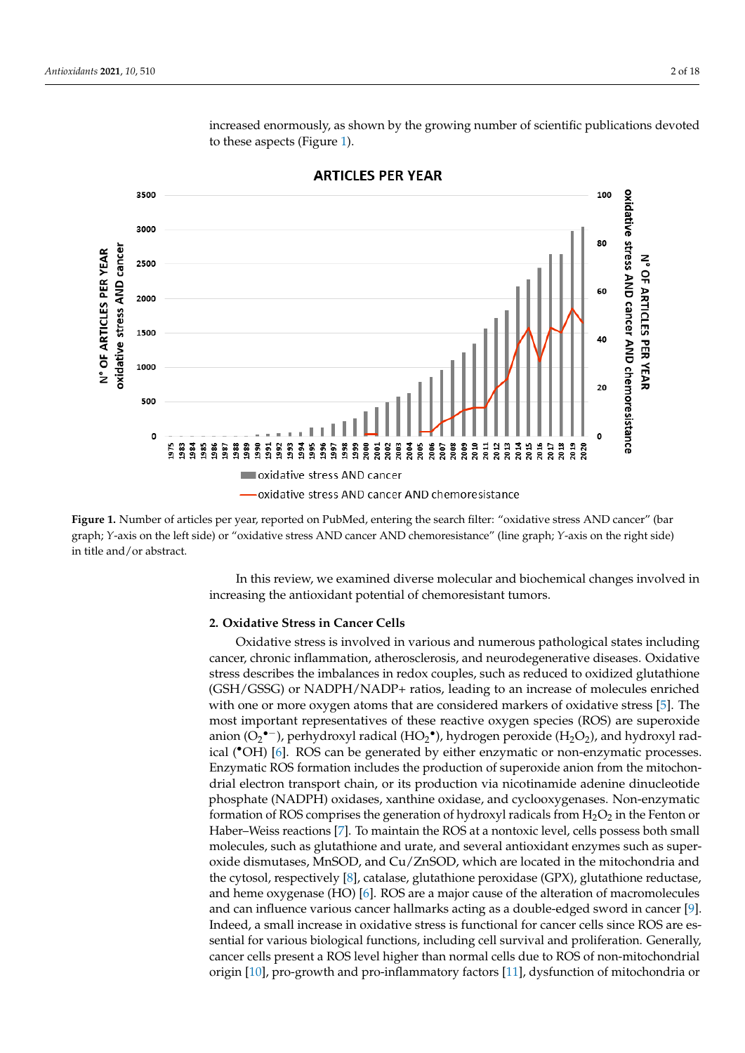<span id="page-1-0"></span>

increased enormously, as shown by the growing number of scientific publications devoted to these aspects (Figure [1\)](#page-1-0).

**ARTICLES PER YEAR** 

**Figure 1.** Number of articles per year, reported on PubMed, entering the search filter: "oxidative stress AND cancer" (bar<br>and the contract of the contract of the contract of the contract of the contract of the contract o graph; Y-axis on the left side) or "oxidative stress AND cancer AND chemoresistance" (line graph; Y-axis on the right side)<br>in title and (ar shatract chemoresistance" (line graph; *Y*‐axis on the right side) in title and/or abstract. in title and/or abstract.

increasing the antioxidant potential of chemoresistant tumors. In this review, we examined diverse molecular and biochemical changes involved in

## 2. Oxidative Stress in Cancer Cells

**2. Cancer**, chronic inflammation, atherosclerosis, and neurodegenerative diseases. Oxidative stress describes the imbalances in redox couples, such as reduced to oxidized glutathione (GSTT) GSSG) of INADITITINADI + Tatios, leading to all filterate of molecules emiched<br>with one or more oxygen atoms that are considered markers of oxidative stress [\[5\]](#page-11-4). The most important representatives of these reactive oxygen species (ROS) are superoxide anion ( $O_2$ <sup>•–</sup>), perhydroxyl radical (HO<sub>2</sub><sup>•</sup>), hydrogen peroxide (H<sub>2</sub>O<sub>2</sub>), and hydroxyl rad-ical (°OH) [\[6\]](#page-11-5). ROS can be generated by either enzymatic or non-enzymatic processes. Enzymatic ROS formation includes the production of superoxide anion from the mitochon-<br>Light algebras the property design an its greed with a give the problem of substitute the mitocholist erial clearen danspert chant, or no production via necemanidae duchine dinaeteoidee<br>phosphate (NADPH) oxidases, xanthine oxidase, and cyclooxygenases. Non-enzymatic formation of ROS comprises the generation of hydroxyl radicals from  $H_2O_2$  in the Fenton or Haber–Weiss reac[tio](#page-11-6)ns [7]. To maintain the ROS at a nontoxic level, cells possess both small molecules, such as glutathione and urate, and several antioxidant enzymes such as super-<br>with the conduction of the conduction of the conduction of the conduction of the conduction of the conduction o phosphate disinduses, whistop, and cu<sub>l</sub> zhoop, which are located in the innochonana and the cytosol, respectively [\[8\]](#page-11-7), catalase, glutathione peroxidase (GPX), glutathione reductase, and heme oxygenase (HO) [\[6\]](#page-11-5). ROS are a major cause of the alteration of macromolecules and can influence various cancer hallmarks acting as a double-edged sword in cancer [\[9\]](#page-11-8). Indeed, a small increase in oxidative stress is functional for cancer cells since ROS are essential for various biological functions, including cell survival and proliferation. Generally,<br>sensor sells gaves at a BOS lavel biology then normal sells due to BOS af non-mitochondrial origin [\[10\]](#page-11-9), pro-growth and pro-inflammatory factors [\[11\]](#page-11-10), dysfunction of mitochondria or reductase, and heme oxygenase (HO) [6]. ROS are a major cause of the alteration of Oxidative stress is involved in various and numerous pathological states including (GSH/GSSG) or NADPH/NADP+ ratios, leading to an increase of molecules enriched drial electron transport chain, or its production via nicotinamide adenine dinucleotide oxide dismutases, MnSOD, and Cu/ZnSOD, which are located in the mitochondria and cancer cells present a ROS level higher than normal cells due to ROS of non-mitochondrial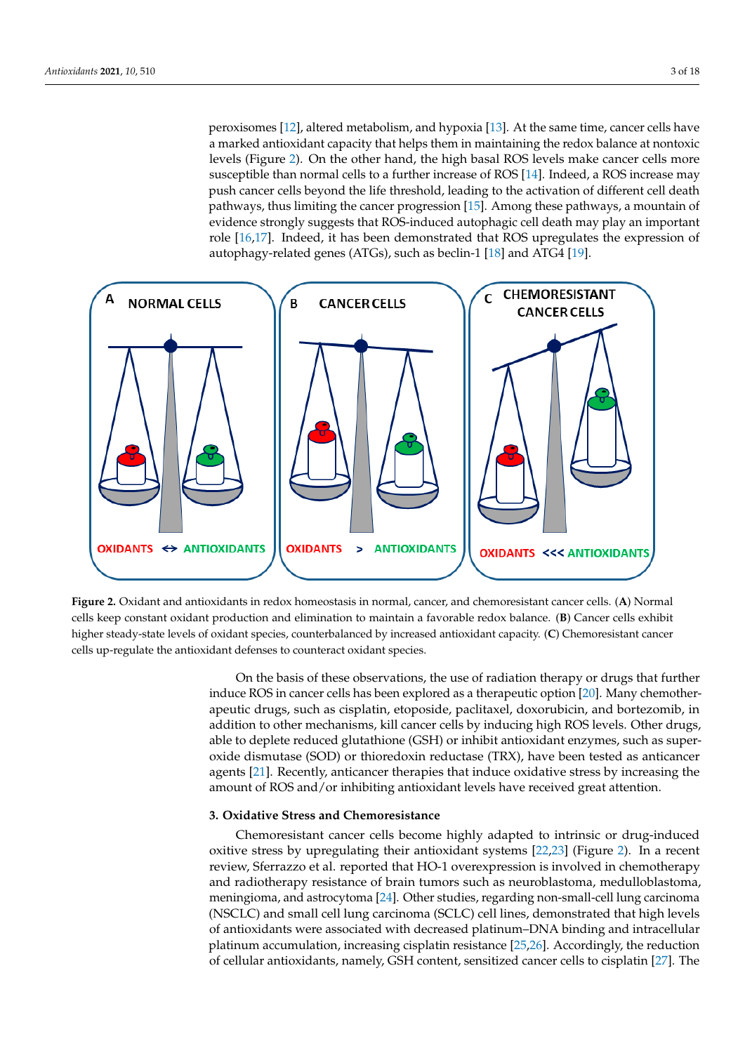peroxisomes [\[12\]](#page-11-11), altered metabolism, and hypoxia [13]. At the same time, cancer cells have a marked antioxidant capacity that helps them in maintaining the redox balance at nontoxic<br>http://www.cancer cells.com/www.cancer cells by induction to other mechanisms, which reduces the mechanisms of levels (Figure [2\)](#page-2-0). On the other hand, the high basal ROS levels make cancer cells more  $\frac{1}{2}$ . On the other hand, the high-basal ROS is very hadded cancel cells note susceptible than normal cells to a further increase of ROS [\[14\]](#page-11-13). Indeed, a ROS increase may push cancer cells beyond the life threshold, leading to the activation of different cell death pathways, thus limiting the cancer progression [\[15\]](#page-11-14). Among these pathways, a mountain of evidence strongly suggests that ROS-induced autophagic cell death may play an important role [\[16,](#page-11-15)[17\]](#page-11-16). Indeed, it has been demonstrated that ROS upregulates the expression of autophagy-related genes (ATGs), such as beclin-1 [\[18\]](#page-11-17) and ATG4 [\[19\]](#page-11-18).

<span id="page-2-0"></span>

 $\overline{\mathcal{O}}$  on the basis of these observations, the use of radiations, the use of radiation therapy or drugs that further

**Figure 2.** Oxidant and antioxidants in redox homeostasis in normal, cancer, and chemoresistant cancer cells. (A) Normal<br>sells have a gention with the top deticate and discipation to accident for a sold and sold detects (B higher steady-state levels of oxidant species, counterbalanced by increased antioxidant capacity. (C) Chemoresistant cancer Faulty cells up-regulate the antioxidant defenses to counteract oxidant species. counterbalance antioxidant capacity. (**C**) Chemoresistant capacity. (**C**) Chemoresistant cancer cancer control up and capacity. (**C**) Chemoresistant cancer control up to  $\mathbf{C}$ cells keep constant oxidant production and elimination to maintain a favorable redox balance. (**B**) Cancer cells exhibit

On the basis of these observations, the use of radiation therapy or drugs that further apeutic drugs, such as cisplatin, etoposide, paclitaxel, doxorubicin, and bortezomib, in<br>1111 11206 1111 11206 1121 1121 1122 112 able to deplete reduced glutathione (GSH) or inhibit antioxidant enzymes, such as superoxide dismutase (SOD) or thioredoxin reductase (TRX), have been tested as anticancer agents [\[21\]](#page-11-20). Recently, anticancer therapies that induce oxidative stress by increasing the amount of ROS and/or inhibiting antioxidant levels have received great attention. induce ROS in cancer cells has been explored as a therapeutic option [\[20\]](#page-11-19). Many chemotheraddition to other mechanisms, kill cancer cells by inducing high ROS levels. Other drugs,

## **3. Oxidative Stress and Chemoresistance**

Chemoresistant cancer cells become highly adapted to intrinsic or drug-induced oxitive stress by upregulating their antioxidant systems  $[22,23]$  $[22,23]$  (Figure 2). In a recent review, Sferrazzo et al. reported that HO-1 overexpression is involved in chemotherapy<br>cod as die the recent assistance of basin tempers arch as a semple tempe as a dellable tempe meningioma, and astrocytoma [\[24\]](#page-11-23). Other studies, regarding non-small-cell lung carcinoma (NSCLC) and small cell lung carcinoma (SCLC) cell lines, demonstrated that high levels of antioxidants were associated with decreased platinum–DNA binding and intracellular platinum accumulation, increasing cisplatin resistance [\[25](#page-11-24)[,26\]](#page-11-25). Accordingly, the reduction<br>
and the latter of the latter of the latter of the latter of the latter of the latter of the latter of the lat of cellular antioxidants, namely, GSH content, sensitized cancer cells to cisplatin [\[27\]](#page-11-26). The and radiotherapy resistance of brain tumors such as neuroblastoma, medulloblastoma,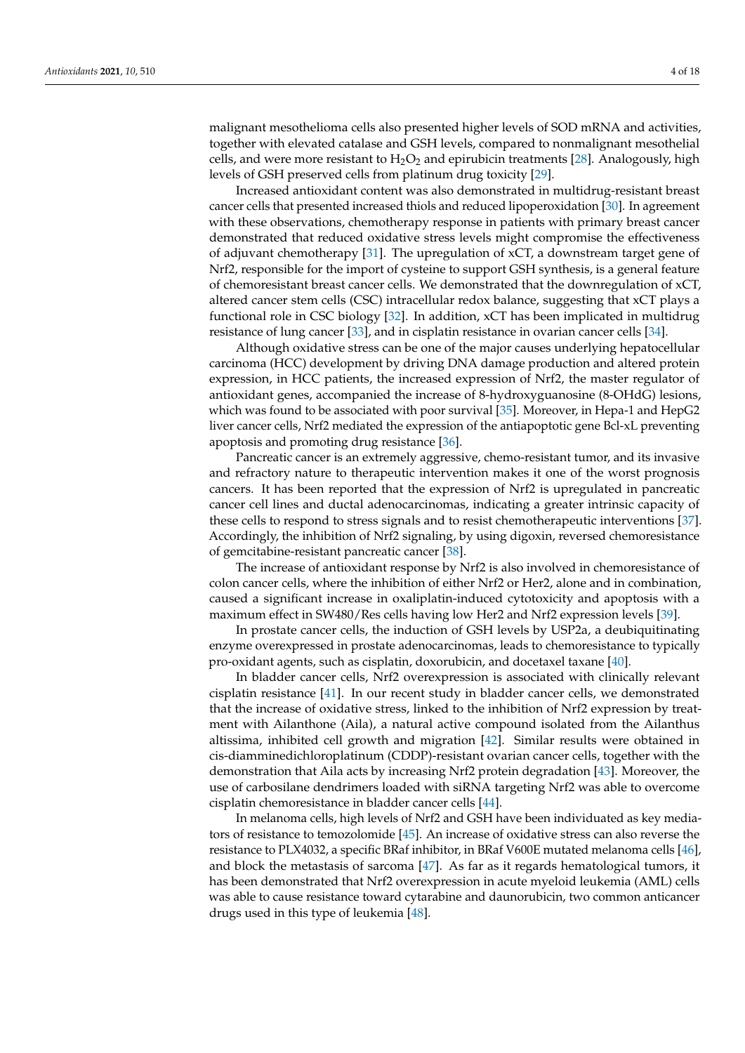malignant mesothelioma cells also presented higher levels of SOD mRNA and activities, together with elevated catalase and GSH levels, compared to nonmalignant mesothelial cells, and were more resistant to  $H_2O_2$  and epirubicin treatments [\[28\]](#page-11-27). Analogously, high levels of GSH preserved cells from platinum drug toxicity [\[29\]](#page-11-28).

Increased antioxidant content was also demonstrated in multidrug-resistant breast cancer cells that presented increased thiols and reduced lipoperoxidation [\[30\]](#page-11-29). In agreement with these observations, chemotherapy response in patients with primary breast cancer demonstrated that reduced oxidative stress levels might compromise the effectiveness of adjuvant chemotherapy [\[31\]](#page-11-30). The upregulation of xCT, a downstream target gene of Nrf2, responsible for the import of cysteine to support GSH synthesis, is a general feature of chemoresistant breast cancer cells. We demonstrated that the downregulation of xCT, altered cancer stem cells (CSC) intracellular redox balance, suggesting that xCT plays a functional role in CSC biology [\[32\]](#page-12-0). In addition, xCT has been implicated in multidrug resistance of lung cancer [\[33\]](#page-12-1), and in cisplatin resistance in ovarian cancer cells [\[34\]](#page-12-2).

Although oxidative stress can be one of the major causes underlying hepatocellular carcinoma (HCC) development by driving DNA damage production and altered protein expression, in HCC patients, the increased expression of Nrf2, the master regulator of antioxidant genes, accompanied the increase of 8-hydroxyguanosine (8-OHdG) lesions, which was found to be associated with poor survival [\[35\]](#page-12-3). Moreover, in Hepa-1 and HepG2 liver cancer cells, Nrf2 mediated the expression of the antiapoptotic gene Bcl-xL preventing apoptosis and promoting drug resistance [\[36\]](#page-12-4).

Pancreatic cancer is an extremely aggressive, chemo-resistant tumor, and its invasive and refractory nature to therapeutic intervention makes it one of the worst prognosis cancers. It has been reported that the expression of Nrf2 is upregulated in pancreatic cancer cell lines and ductal adenocarcinomas, indicating a greater intrinsic capacity of these cells to respond to stress signals and to resist chemotherapeutic interventions [\[37\]](#page-12-5). Accordingly, the inhibition of Nrf2 signaling, by using digoxin, reversed chemoresistance of gemcitabine-resistant pancreatic cancer [\[38\]](#page-12-6).

The increase of antioxidant response by Nrf2 is also involved in chemoresistance of colon cancer cells, where the inhibition of either Nrf2 or Her2, alone and in combination, caused a significant increase in oxaliplatin-induced cytotoxicity and apoptosis with a maximum effect in SW480/Res cells having low Her2 and Nrf2 expression levels [\[39\]](#page-12-7).

In prostate cancer cells, the induction of GSH levels by USP2a, a deubiquitinating enzyme overexpressed in prostate adenocarcinomas, leads to chemoresistance to typically pro-oxidant agents, such as cisplatin, doxorubicin, and docetaxel taxane [\[40\]](#page-12-8).

In bladder cancer cells, Nrf2 overexpression is associated with clinically relevant cisplatin resistance [\[41\]](#page-12-9). In our recent study in bladder cancer cells, we demonstrated that the increase of oxidative stress, linked to the inhibition of Nrf2 expression by treatment with Ailanthone (Aila), a natural active compound isolated from the Ailanthus altissima, inhibited cell growth and migration [\[42\]](#page-12-10). Similar results were obtained in cis-diamminedichloroplatinum (CDDP)-resistant ovarian cancer cells, together with the demonstration that Aila acts by increasing Nrf2 protein degradation [\[43\]](#page-12-11). Moreover, the use of carbosilane dendrimers loaded with siRNA targeting Nrf2 was able to overcome cisplatin chemoresistance in bladder cancer cells [\[44\]](#page-12-12).

In melanoma cells, high levels of Nrf2 and GSH have been individuated as key mediators of resistance to temozolomide [\[45\]](#page-12-13). An increase of oxidative stress can also reverse the resistance to PLX4032, a specific BRaf inhibitor, in BRaf V600E mutated melanoma cells [\[46\]](#page-12-14), and block the metastasis of sarcoma [\[47\]](#page-12-15). As far as it regards hematological tumors, it has been demonstrated that Nrf2 overexpression in acute myeloid leukemia (AML) cells was able to cause resistance toward cytarabine and daunorubicin, two common anticancer drugs used in this type of leukemia [\[48\]](#page-12-16).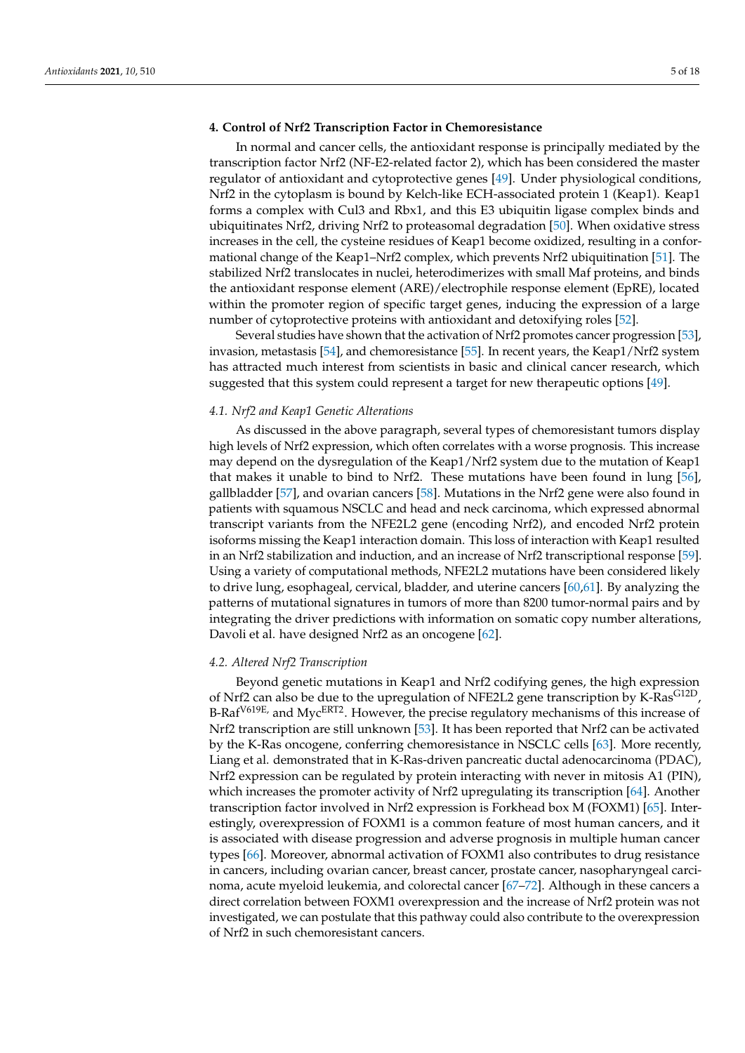## **4. Control of Nrf2 Transcription Factor in Chemoresistance**

In normal and cancer cells, the antioxidant response is principally mediated by the transcription factor Nrf2 (NF-E2-related factor 2), which has been considered the master regulator of antioxidant and cytoprotective genes [\[49\]](#page-12-17). Under physiological conditions, Nrf2 in the cytoplasm is bound by Kelch-like ECH-associated protein 1 (Keap1). Keap1 forms a complex with Cul3 and Rbx1, and this E3 ubiquitin ligase complex binds and ubiquitinates Nrf2, driving Nrf2 to proteasomal degradation [\[50\]](#page-12-18). When oxidative stress increases in the cell, the cysteine residues of Keap1 become oxidized, resulting in a conformational change of the Keap1–Nrf2 complex, which prevents Nrf2 ubiquitination [\[51\]](#page-12-19). The stabilized Nrf2 translocates in nuclei, heterodimerizes with small Maf proteins, and binds the antioxidant response element (ARE)/electrophile response element (EpRE), located within the promoter region of specific target genes, inducing the expression of a large number of cytoprotective proteins with antioxidant and detoxifying roles [\[52\]](#page-12-20).

Several studies have shown that the activation of Nrf2 promotes cancer progression [\[53\]](#page-12-21), invasion, metastasis [\[54\]](#page-12-22), and chemoresistance [\[55\]](#page-12-23). In recent years, the Keap1/Nrf2 system has attracted much interest from scientists in basic and clinical cancer research, which suggested that this system could represent a target for new therapeutic options [\[49\]](#page-12-17).

### *4.1. Nrf2 and Keap1 Genetic Alterations*

As discussed in the above paragraph, several types of chemoresistant tumors display high levels of Nrf2 expression, which often correlates with a worse prognosis. This increase may depend on the dysregulation of the Keap1/Nrf2 system due to the mutation of Keap1 that makes it unable to bind to Nrf2. These mutations have been found in lung [\[56\]](#page-13-0), gallbladder [\[57\]](#page-13-1), and ovarian cancers [\[58\]](#page-13-2). Mutations in the Nrf2 gene were also found in patients with squamous NSCLC and head and neck carcinoma, which expressed abnormal transcript variants from the NFE2L2 gene (encoding Nrf2), and encoded Nrf2 protein isoforms missing the Keap1 interaction domain. This loss of interaction with Keap1 resulted in an Nrf2 stabilization and induction, and an increase of Nrf2 transcriptional response [\[59\]](#page-13-3). Using a variety of computational methods, NFE2L2 mutations have been considered likely to drive lung, esophageal, cervical, bladder, and uterine cancers [\[60](#page-13-4)[,61\]](#page-13-5). By analyzing the patterns of mutational signatures in tumors of more than 8200 tumor-normal pairs and by integrating the driver predictions with information on somatic copy number alterations, Davoli et al. have designed Nrf2 as an oncogene [\[62\]](#page-13-6).

## *4.2. Altered Nrf2 Transcription*

Beyond genetic mutations in Keap1 and Nrf2 codifying genes, the high expression of Nrf2 can also be due to the upregulation of NFE2L2 gene transcription by K-Ras<sup>G12D</sup>, B-Raf<sup>V619E</sup>, and Myc<sup>ERT2</sup>. However, the precise regulatory mechanisms of this increase of Nrf2 transcription are still unknown [\[53\]](#page-12-21). It has been reported that Nrf2 can be activated by the K-Ras oncogene, conferring chemoresistance in NSCLC cells [\[63\]](#page-13-7). More recently, Liang et al. demonstrated that in K-Ras-driven pancreatic ductal adenocarcinoma (PDAC), Nrf2 expression can be regulated by protein interacting with never in mitosis A1 (PIN), which increases the promoter activity of Nrf2 upregulating its transcription [\[64\]](#page-13-8). Another transcription factor involved in Nrf2 expression is Forkhead box M (FOXM1) [\[65\]](#page-13-9). Interestingly, overexpression of FOXM1 is a common feature of most human cancers, and it is associated with disease progression and adverse prognosis in multiple human cancer types [\[66\]](#page-13-10). Moreover, abnormal activation of FOXM1 also contributes to drug resistance in cancers, including ovarian cancer, breast cancer, prostate cancer, nasopharyngeal carcinoma, acute myeloid leukemia, and colorectal cancer [\[67–](#page-13-11)[72\]](#page-13-12). Although in these cancers a direct correlation between FOXM1 overexpression and the increase of Nrf2 protein was not investigated, we can postulate that this pathway could also contribute to the overexpression of Nrf2 in such chemoresistant cancers.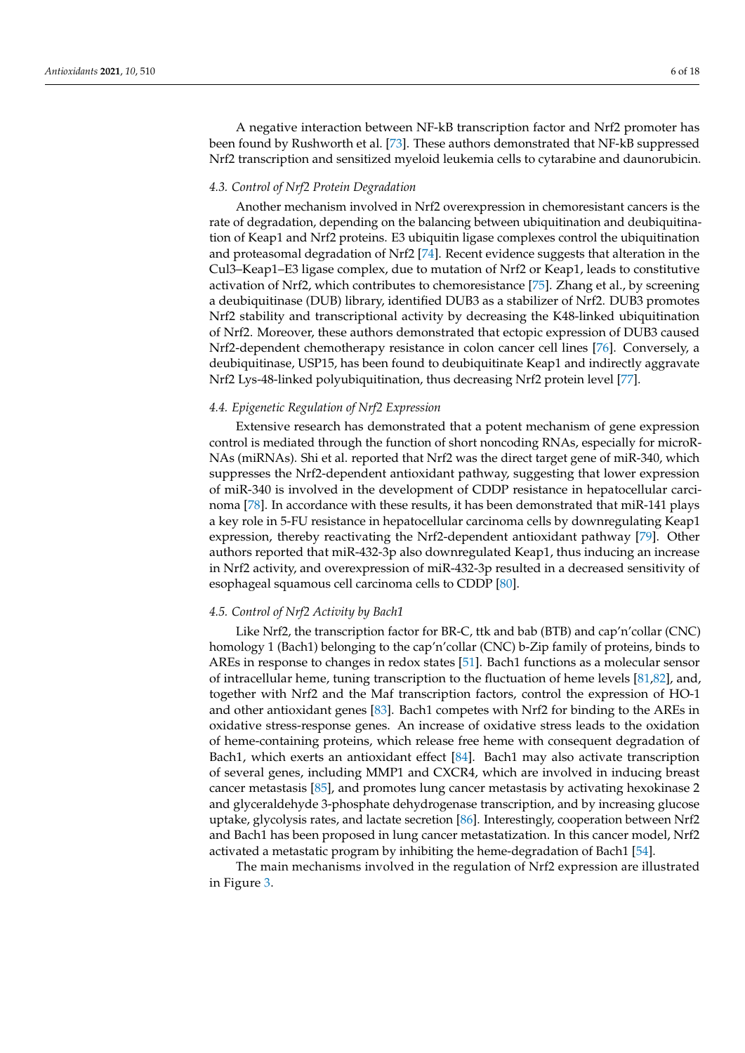A negative interaction between NF-kB transcription factor and Nrf2 promoter has been found by Rushworth et al. [\[73\]](#page-13-13). These authors demonstrated that NF-kB suppressed Nrf2 transcription and sensitized myeloid leukemia cells to cytarabine and daunorubicin.

### *4.3. Control of Nrf2 Protein Degradation*

Another mechanism involved in Nrf2 overexpression in chemoresistant cancers is the rate of degradation, depending on the balancing between ubiquitination and deubiquitination of Keap1 and Nrf2 proteins. E3 ubiquitin ligase complexes control the ubiquitination and proteasomal degradation of Nrf2 [\[74\]](#page-13-14). Recent evidence suggests that alteration in the Cul3–Keap1–E3 ligase complex, due to mutation of Nrf2 or Keap1, leads to constitutive activation of Nrf2, which contributes to chemoresistance [\[75\]](#page-13-15). Zhang et al., by screening a deubiquitinase (DUB) library, identified DUB3 as a stabilizer of Nrf2. DUB3 promotes Nrf2 stability and transcriptional activity by decreasing the K48-linked ubiquitination of Nrf2. Moreover, these authors demonstrated that ectopic expression of DUB3 caused Nrf2-dependent chemotherapy resistance in colon cancer cell lines [\[76\]](#page-13-16). Conversely, a deubiquitinase, USP15, has been found to deubiquitinate Keap1 and indirectly aggravate Nrf2 Lys-48-linked polyubiquitination, thus decreasing Nrf2 protein level [\[77\]](#page-13-17).

## *4.4. Epigenetic Regulation of Nrf2 Expression*

Extensive research has demonstrated that a potent mechanism of gene expression control is mediated through the function of short noncoding RNAs, especially for microR-NAs (miRNAs). Shi et al. reported that Nrf2 was the direct target gene of miR-340, which suppresses the Nrf2-dependent antioxidant pathway, suggesting that lower expression of miR-340 is involved in the development of CDDP resistance in hepatocellular carcinoma [\[78\]](#page-13-18). In accordance with these results, it has been demonstrated that miR-141 plays a key role in 5-FU resistance in hepatocellular carcinoma cells by downregulating Keap1 expression, thereby reactivating the Nrf2-dependent antioxidant pathway [\[79\]](#page-13-19). Other authors reported that miR-432-3p also downregulated Keap1, thus inducing an increase in Nrf2 activity, and overexpression of miR-432-3p resulted in a decreased sensitivity of esophageal squamous cell carcinoma cells to CDDP [\[80\]](#page-13-20).

### *4.5. Control of Nrf2 Activity by Bach1*

Like Nrf2, the transcription factor for BR-C, ttk and bab (BTB) and cap'n'collar (CNC) homology 1 (Bach1) belonging to the cap'n'collar (CNC) b-Zip family of proteins, binds to AREs in response to changes in redox states [\[51\]](#page-12-19). Bach1 functions as a molecular sensor of intracellular heme, tuning transcription to the fluctuation of heme levels [\[81,](#page-13-21)[82\]](#page-14-0), and, together with Nrf2 and the Maf transcription factors, control the expression of HO-1 and other antioxidant genes [\[83\]](#page-14-1). Bach1 competes with Nrf2 for binding to the AREs in oxidative stress-response genes. An increase of oxidative stress leads to the oxidation of heme-containing proteins, which release free heme with consequent degradation of Bach1, which exerts an antioxidant effect [\[84\]](#page-14-2). Bach1 may also activate transcription of several genes, including MMP1 and CXCR4, which are involved in inducing breast cancer metastasis [\[85\]](#page-14-3), and promotes lung cancer metastasis by activating hexokinase 2 and glyceraldehyde 3-phosphate dehydrogenase transcription, and by increasing glucose uptake, glycolysis rates, and lactate secretion [\[86\]](#page-14-4). Interestingly, cooperation between Nrf2 and Bach1 has been proposed in lung cancer metastatization. In this cancer model, Nrf2 activated a metastatic program by inhibiting the heme-degradation of Bach1 [\[54\]](#page-12-22).

The main mechanisms involved in the regulation of Nrf2 expression are illustrated in Figure [3.](#page-6-0)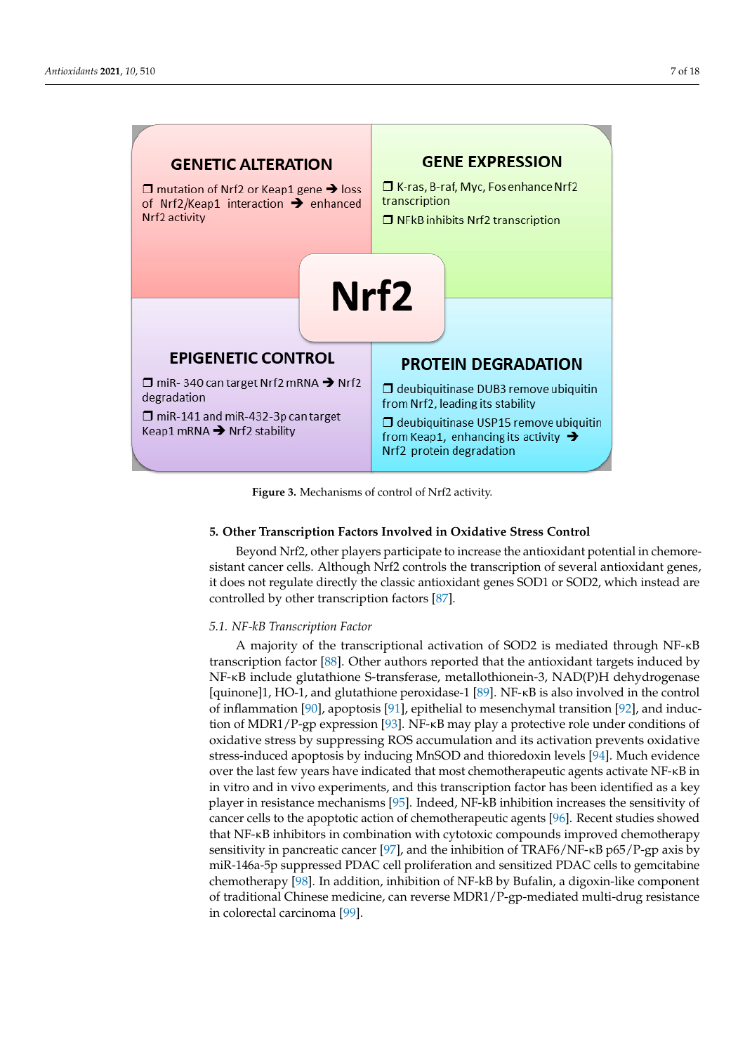<span id="page-6-0"></span>

**Figure 3.** Mechanisms of control of Nrf2 activity. **Figure 3.** Mechanisms of control of Nrf2 activity.

## **5. Other Transcription Factors Involved in Oxidative Stress Control 5. Other Transcription Factors Involved in Oxidative Stress Control**

Beyond Nrf2, other players participate to increase the antioxidant potential in Beyond Nrf2, other players participate to increase the antioxidant potential in chemoresistant cancer cells. Although Nrf2 controls the transcription of several antioxidant genes, it does not regulate directly the classic antioxidant genes SOD1 or SOD2, which instead are controlled by other transcription factors  $[87]$ .

## *5.1. NF‐kB Transcription Factor 5.1. NF-kB Transcription Factor*

A majority of the transcriptional activation of SOD2 is mediated through NF‐κB A majority of the transcriptional activation of SOD2 is mediated through NF-κB transcription factor [\[88\]](#page-14-6). Other authors reported that the antioxidant targets induced by NF‐κB include glutathione S‐transferase, metallothionein‐3, NAD(P)H dehydrogenase [quinone]1, HO-1, and glutathione peroxidase-1 [\[89\]](#page-14-7). NF-κB is also involved in the control [quinone]1, HO‐1, and glutathione peroxidase‐1 [89]. NF‐κB is also involved in the control of inflammation [\[90\]](#page-14-8), apoptosis [\[91\]](#page-14-9), epithelial to mesenchymal transition [\[92\]](#page-14-10), and induc- $\frac{1}{2}$  of inflammation [90], αροφτόσιο [91], epithelial to mesenchymal transition [92], and made tion of MDR1/P-gp expression [\[93\]](#page-14-11). NF-κB may play a protective role under conditions of induction of MDR1/P‐gp expression [93]. NF‐κB may play a protective role under oxidative stress by suppressing ROS accumulation and its activation prevents oxidative  $\epsilon$  stress-induced apoptosis by inducing MnSOD and thioredoxin levels [\[94\]](#page-14-12). Much evidence over the last few years have indicated that most chemotherapeutic agents activate NF-κB in in vitro and in vivo experiments, and this transcription factor has been identified as a key player in resistance mechanisms [\[95\]](#page-14-13). Indeed, NF-kB inhibition increases the sensitivity of cancer cells to the apoptotic action of chemotherapeutic agents [\[96\]](#page-14-14). Recent studies showed that NF-κB inhibitors in combination with cytotoxic compounds improved chemotherapy sensitivity in pancreatic cancer [\[97\]](#page-14-15), and the inhibition of TRAF6/NF-κB p65/P-gp axis by miR-146a-5p suppressed PDAC cell proliferation and sensitized PDAC cells to gemcitabine chemotherapy [\[98\]](#page-14-16). In addition, inhibition of NF-kB by Bufalin, a digoxin-like component of traditional Chinese medicine, can reverse MDR1/P-gp-mediated multi-drug resistance in colorectal carcinoma [\[99\]](#page-14-17). NF-κB include glutathione S-transferase, metallothionein-3, NAD(P)H dehydrogenase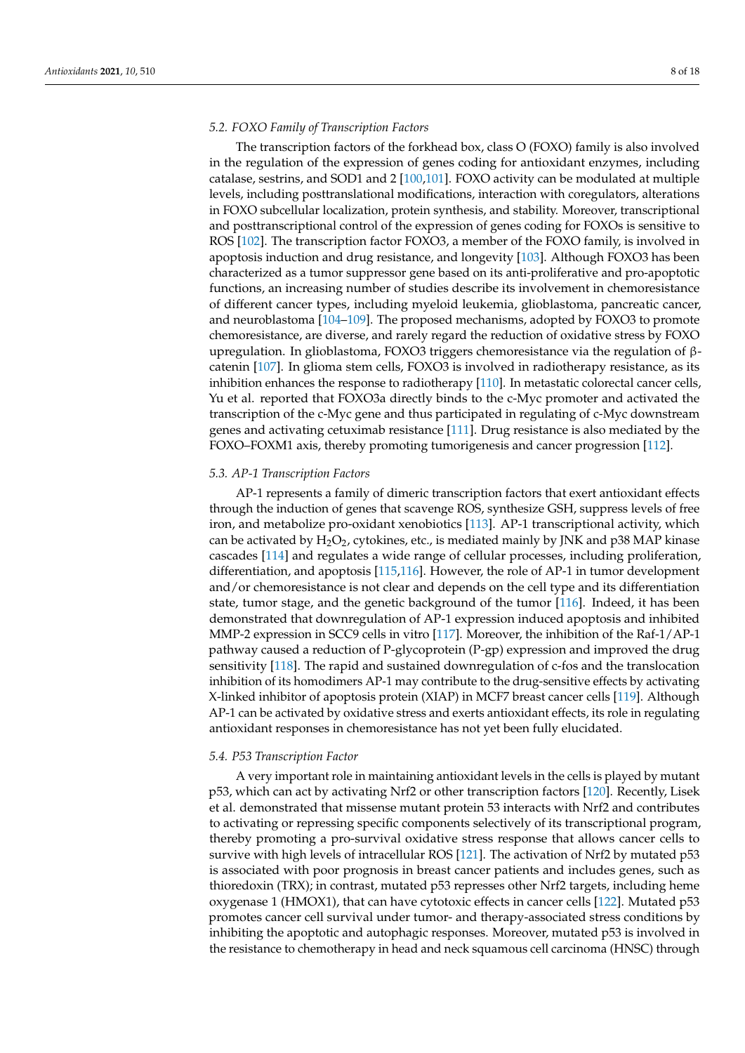## *5.2. FOXO Family of Transcription Factors*

The transcription factors of the forkhead box, class O (FOXO) family is also involved in the regulation of the expression of genes coding for antioxidant enzymes, including catalase, sestrins, and SOD1 and 2 [\[100](#page-14-18)[,101\]](#page-14-19). FOXO activity can be modulated at multiple levels, including posttranslational modifications, interaction with coregulators, alterations in FOXO subcellular localization, protein synthesis, and stability. Moreover, transcriptional and posttranscriptional control of the expression of genes coding for FOXOs is sensitive to ROS [\[102\]](#page-14-20). The transcription factor FOXO3, a member of the FOXO family, is involved in apoptosis induction and drug resistance, and longevity [\[103\]](#page-14-21). Although FOXO3 has been characterized as a tumor suppressor gene based on its anti-proliferative and pro-apoptotic functions, an increasing number of studies describe its involvement in chemoresistance of different cancer types, including myeloid leukemia, glioblastoma, pancreatic cancer, and neuroblastoma [\[104–](#page-14-22)[109\]](#page-15-0). The proposed mechanisms, adopted by FOXO3 to promote chemoresistance, are diverse, and rarely regard the reduction of oxidative stress by FOXO upregulation. In glioblastoma, FOXO3 triggers chemoresistance via the regulation of βcatenin [\[107\]](#page-14-23). In glioma stem cells, FOXO3 is involved in radiotherapy resistance, as its inhibition enhances the response to radiotherapy [\[110\]](#page-15-1). In metastatic colorectal cancer cells, Yu et al. reported that FOXO3a directly binds to the c-Myc promoter and activated the transcription of the c-Myc gene and thus participated in regulating of c-Myc downstream genes and activating cetuximab resistance [\[111\]](#page-15-2). Drug resistance is also mediated by the FOXO–FOXM1 axis, thereby promoting tumorigenesis and cancer progression [\[112\]](#page-15-3).

## *5.3. AP-1 Transcription Factors*

AP-1 represents a family of dimeric transcription factors that exert antioxidant effects through the induction of genes that scavenge ROS, synthesize GSH, suppress levels of free iron, and metabolize pro-oxidant xenobiotics [\[113\]](#page-15-4). AP-1 transcriptional activity, which can be activated by  $H_2O_2$ , cytokines, etc., is mediated mainly by JNK and p38 MAP kinase cascades [\[114\]](#page-15-5) and regulates a wide range of cellular processes, including proliferation, differentiation, and apoptosis [\[115](#page-15-6)[,116\]](#page-15-7). However, the role of AP-1 in tumor development and/or chemoresistance is not clear and depends on the cell type and its differentiation state, tumor stage, and the genetic background of the tumor [\[116\]](#page-15-7). Indeed, it has been demonstrated that downregulation of AP-1 expression induced apoptosis and inhibited MMP-2 expression in SCC9 cells in vitro [\[117\]](#page-15-8). Moreover, the inhibition of the Raf-1/AP-1 pathway caused a reduction of P-glycoprotein (P-gp) expression and improved the drug sensitivity [\[118\]](#page-15-9). The rapid and sustained downregulation of c-fos and the translocation inhibition of its homodimers AP-1 may contribute to the drug-sensitive effects by activating X-linked inhibitor of apoptosis protein (XIAP) in MCF7 breast cancer cells [\[119\]](#page-15-10). Although AP-1 can be activated by oxidative stress and exerts antioxidant effects, its role in regulating antioxidant responses in chemoresistance has not yet been fully elucidated.

### *5.4. P53 Transcription Factor*

A very important role in maintaining antioxidant levels in the cells is played by mutant p53, which can act by activating Nrf2 or other transcription factors [\[120\]](#page-15-11). Recently, Lisek et al. demonstrated that missense mutant protein 53 interacts with Nrf2 and contributes to activating or repressing specific components selectively of its transcriptional program, thereby promoting a pro-survival oxidative stress response that allows cancer cells to survive with high levels of intracellular ROS [\[121\]](#page-15-12). The activation of Nrf2 by mutated p53 is associated with poor prognosis in breast cancer patients and includes genes, such as thioredoxin (TRX); in contrast, mutated p53 represses other Nrf2 targets, including heme oxygenase 1 (HMOX1), that can have cytotoxic effects in cancer cells [\[122\]](#page-15-13). Mutated p53 promotes cancer cell survival under tumor- and therapy-associated stress conditions by inhibiting the apoptotic and autophagic responses. Moreover, mutated p53 is involved in the resistance to chemotherapy in head and neck squamous cell carcinoma (HNSC) through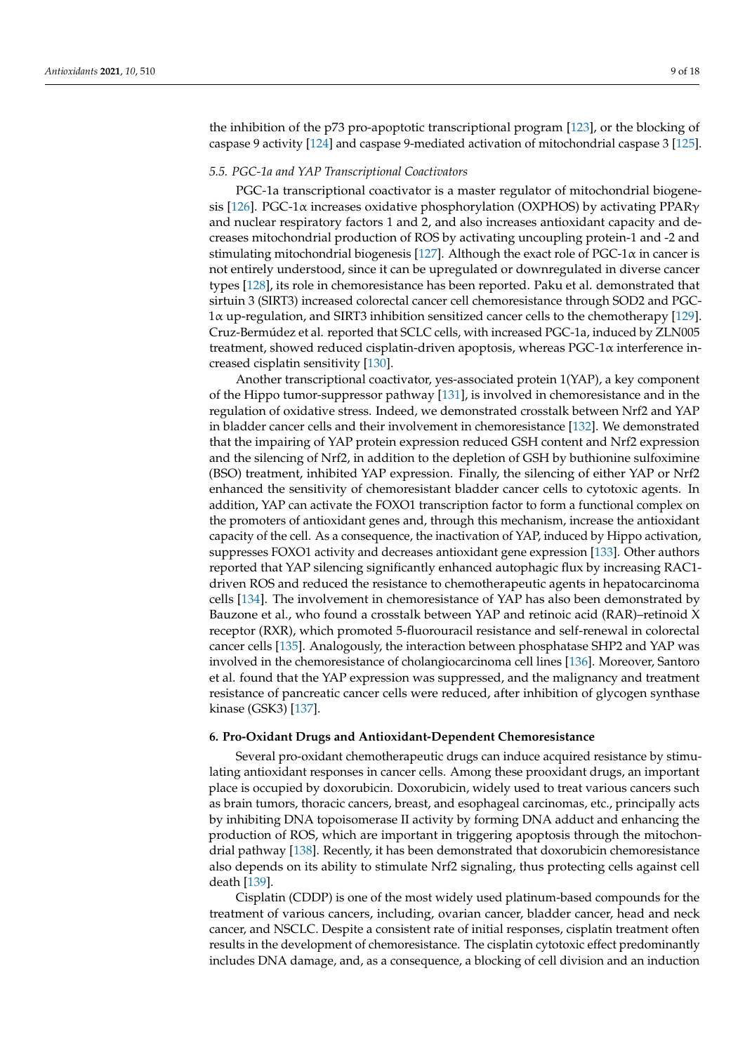the inhibition of the p73 pro-apoptotic transcriptional program [\[123\]](#page-15-14), or the blocking of caspase 9 activity [\[124\]](#page-15-15) and caspase 9-mediated activation of mitochondrial caspase 3 [\[125\]](#page-15-16).

## *5.5. PGC-1a and YAP Transcriptional Coactivators*

PGC-1a transcriptional coactivator is a master regulator of mitochondrial biogene-sis [\[126\]](#page-15-17). PGC-1 $\alpha$  increases oxidative phosphorylation (OXPHOS) by activating PPAR $\gamma$ and nuclear respiratory factors 1 and 2, and also increases antioxidant capacity and decreases mitochondrial production of ROS by activating uncoupling protein-1 and -2 and stimulating mitochondrial biogenesis [\[127\]](#page-15-18). Although the exact role of  $PGC-1\alpha$  in cancer is not entirely understood, since it can be upregulated or downregulated in diverse cancer types [\[128\]](#page-15-19), its role in chemoresistance has been reported. Paku et al. demonstrated that sirtuin 3 (SIRT3) increased colorectal cancer cell chemoresistance through SOD2 and PGC-1α up-regulation, and SIRT3 inhibition sensitized cancer cells to the chemotherapy [\[129\]](#page-15-20). Cruz-Bermúdez et al. reported that SCLC cells, with increased PGC-1a, induced by ZLN005 treatment, showed reduced cisplatin-driven apoptosis, whereas PGC-1α interference increased cisplatin sensitivity [\[130\]](#page-15-21).

Another transcriptional coactivator, yes-associated protein 1(YAP), a key component of the Hippo tumor-suppressor pathway [\[131\]](#page-15-22), is involved in chemoresistance and in the regulation of oxidative stress. Indeed, we demonstrated crosstalk between Nrf2 and YAP in bladder cancer cells and their involvement in chemoresistance [\[132\]](#page-15-23). We demonstrated that the impairing of YAP protein expression reduced GSH content and Nrf2 expression and the silencing of Nrf2, in addition to the depletion of GSH by buthionine sulfoximine (BSO) treatment, inhibited YAP expression. Finally, the silencing of either YAP or Nrf2 enhanced the sensitivity of chemoresistant bladder cancer cells to cytotoxic agents. In addition, YAP can activate the FOXO1 transcription factor to form a functional complex on the promoters of antioxidant genes and, through this mechanism, increase the antioxidant capacity of the cell. As a consequence, the inactivation of YAP, induced by Hippo activation, suppresses FOXO1 activity and decreases antioxidant gene expression [\[133\]](#page-15-24). Other authors reported that YAP silencing significantly enhanced autophagic flux by increasing RAC1 driven ROS and reduced the resistance to chemotherapeutic agents in hepatocarcinoma cells [\[134\]](#page-15-25). The involvement in chemoresistance of YAP has also been demonstrated by Bauzone et al., who found a crosstalk between YAP and retinoic acid (RAR)–retinoid X receptor (RXR), which promoted 5-fluorouracil resistance and self-renewal in colorectal cancer cells [\[135\]](#page-16-0). Analogously, the interaction between phosphatase SHP2 and YAP was involved in the chemoresistance of cholangiocarcinoma cell lines [\[136\]](#page-16-1). Moreover, Santoro et al. found that the YAP expression was suppressed, and the malignancy and treatment resistance of pancreatic cancer cells were reduced, after inhibition of glycogen synthase kinase (GSK3) [\[137\]](#page-16-2).

### **6. Pro-Oxidant Drugs and Antioxidant-Dependent Chemoresistance**

Several pro-oxidant chemotherapeutic drugs can induce acquired resistance by stimulating antioxidant responses in cancer cells. Among these prooxidant drugs, an important place is occupied by doxorubicin. Doxorubicin, widely used to treat various cancers such as brain tumors, thoracic cancers, breast, and esophageal carcinomas, etc., principally acts by inhibiting DNA topoisomerase II activity by forming DNA adduct and enhancing the production of ROS, which are important in triggering apoptosis through the mitochondrial pathway [\[138\]](#page-16-3). Recently, it has been demonstrated that doxorubicin chemoresistance also depends on its ability to stimulate Nrf2 signaling, thus protecting cells against cell death [\[139\]](#page-16-4).

Cisplatin (CDDP) is one of the most widely used platinum-based compounds for the treatment of various cancers, including, ovarian cancer, bladder cancer, head and neck cancer, and NSCLC. Despite a consistent rate of initial responses, cisplatin treatment often results in the development of chemoresistance. The cisplatin cytotoxic effect predominantly includes DNA damage, and, as a consequence, a blocking of cell division and an induction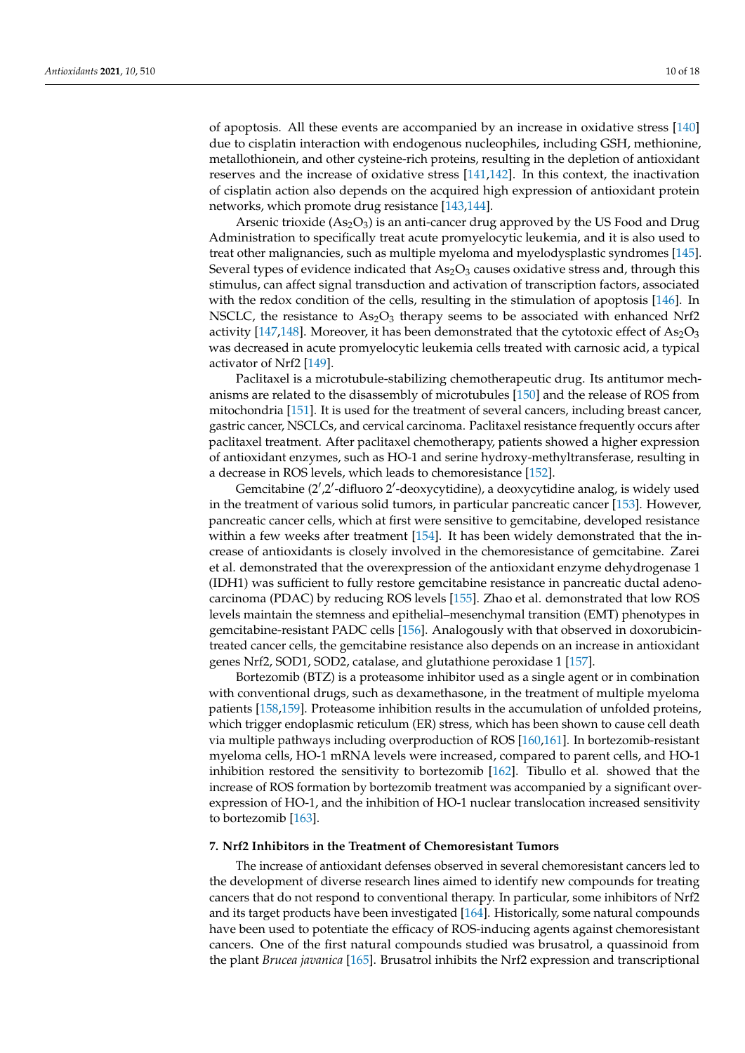of apoptosis. All these events are accompanied by an increase in oxidative stress [\[140\]](#page-16-5) due to cisplatin interaction with endogenous nucleophiles, including GSH, methionine, metallothionein, and other cysteine-rich proteins, resulting in the depletion of antioxidant reserves and the increase of oxidative stress [\[141,](#page-16-6)[142\]](#page-16-7). In this context, the inactivation of cisplatin action also depends on the acquired high expression of antioxidant protein networks, which promote drug resistance [\[143](#page-16-8)[,144\]](#page-16-9).

Arsenic trioxide  $(As<sub>2</sub>O<sub>3</sub>)$  is an anti-cancer drug approved by the US Food and Drug Administration to specifically treat acute promyelocytic leukemia, and it is also used to treat other malignancies, such as multiple myeloma and myelodysplastic syndromes [\[145\]](#page-16-10). Several types of evidence indicated that  $As_2O_3$  causes oxidative stress and, through this stimulus, can affect signal transduction and activation of transcription factors, associated with the redox condition of the cells, resulting in the stimulation of apoptosis [\[146\]](#page-16-11). In NSCLC, the resistance to  $As<sub>2</sub>O<sub>3</sub>$  therapy seems to be associated with enhanced Nrf2 activity [\[147,](#page-16-12)[148\]](#page-16-13). Moreover, it has been demonstrated that the cytotoxic effect of  $As_2O_3$ was decreased in acute promyelocytic leukemia cells treated with carnosic acid, a typical activator of Nrf2 [\[149\]](#page-16-14).

Paclitaxel is a microtubule-stabilizing chemotherapeutic drug. Its antitumor mechanisms are related to the disassembly of microtubules [\[150\]](#page-16-15) and the release of ROS from mitochondria [\[151\]](#page-16-16). It is used for the treatment of several cancers, including breast cancer, gastric cancer, NSCLCs, and cervical carcinoma. Paclitaxel resistance frequently occurs after paclitaxel treatment. After paclitaxel chemotherapy, patients showed a higher expression of antioxidant enzymes, such as HO-1 and serine hydroxy-methyltransferase, resulting in a decrease in ROS levels, which leads to chemoresistance [\[152\]](#page-16-17).

Gemcitabine (2',2'-difluoro 2'-deoxycytidine), a deoxycytidine analog, is widely used in the treatment of various solid tumors, in particular pancreatic cancer [\[153\]](#page-16-18). However, pancreatic cancer cells, which at first were sensitive to gemcitabine, developed resistance within a few weeks after treatment [\[154\]](#page-16-19). It has been widely demonstrated that the increase of antioxidants is closely involved in the chemoresistance of gemcitabine. Zarei et al. demonstrated that the overexpression of the antioxidant enzyme dehydrogenase 1 (IDH1) was sufficient to fully restore gemcitabine resistance in pancreatic ductal adenocarcinoma (PDAC) by reducing ROS levels [\[155\]](#page-16-20). Zhao et al. demonstrated that low ROS levels maintain the stemness and epithelial–mesenchymal transition (EMT) phenotypes in gemcitabine-resistant PADC cells [\[156\]](#page-16-21). Analogously with that observed in doxorubicintreated cancer cells, the gemcitabine resistance also depends on an increase in antioxidant genes Nrf2, SOD1, SOD2, catalase, and glutathione peroxidase 1 [\[157\]](#page-16-22).

Bortezomib (BTZ) is a proteasome inhibitor used as a single agent or in combination with conventional drugs, such as dexamethasone, in the treatment of multiple myeloma patients [\[158,](#page-16-23)[159\]](#page-17-0). Proteasome inhibition results in the accumulation of unfolded proteins, which trigger endoplasmic reticulum (ER) stress, which has been shown to cause cell death via multiple pathways including overproduction of ROS [\[160,](#page-17-1)[161\]](#page-17-2). In bortezomib-resistant myeloma cells, HO-1 mRNA levels were increased, compared to parent cells, and HO-1 inhibition restored the sensitivity to bortezomib [\[162\]](#page-17-3). Tibullo et al. showed that the increase of ROS formation by bortezomib treatment was accompanied by a significant overexpression of HO-1, and the inhibition of HO-1 nuclear translocation increased sensitivity to bortezomib [\[163\]](#page-17-4).

## **7. Nrf2 Inhibitors in the Treatment of Chemoresistant Tumors**

The increase of antioxidant defenses observed in several chemoresistant cancers led to the development of diverse research lines aimed to identify new compounds for treating cancers that do not respond to conventional therapy. In particular, some inhibitors of Nrf2 and its target products have been investigated [\[164\]](#page-17-5). Historically, some natural compounds have been used to potentiate the efficacy of ROS-inducing agents against chemoresistant cancers. One of the first natural compounds studied was brusatrol, a quassinoid from the plant *Brucea javanica* [\[165\]](#page-17-6). Brusatrol inhibits the Nrf2 expression and transcriptional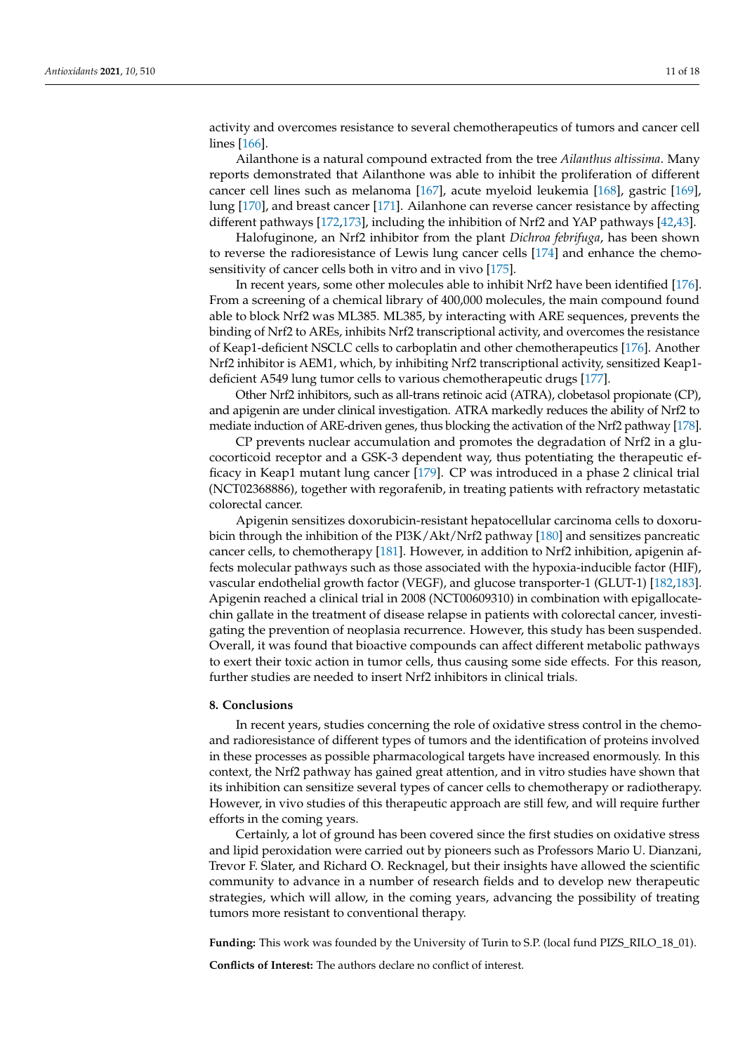activity and overcomes resistance to several chemotherapeutics of tumors and cancer cell lines [\[166\]](#page-17-7).

Ailanthone is a natural compound extracted from the tree *Ailanthus altissima*. Many reports demonstrated that Ailanthone was able to inhibit the proliferation of different cancer cell lines such as melanoma [\[167\]](#page-17-8), acute myeloid leukemia [\[168\]](#page-17-9), gastric [\[169\]](#page-17-10), lung [\[170\]](#page-17-11), and breast cancer [\[171\]](#page-17-12). Ailanhone can reverse cancer resistance by affecting different pathways [\[172](#page-17-13)[,173\]](#page-17-14), including the inhibition of Nrf2 and YAP pathways [\[42](#page-12-10)[,43\]](#page-12-11).

Halofuginone, an Nrf2 inhibitor from the plant *Dichroa febrifuga*, has been shown to reverse the radioresistance of Lewis lung cancer cells [\[174\]](#page-17-15) and enhance the chemosensitivity of cancer cells both in vitro and in vivo [\[175\]](#page-17-16).

In recent years, some other molecules able to inhibit Nrf2 have been identified [\[176\]](#page-17-17). From a screening of a chemical library of 400,000 molecules, the main compound found able to block Nrf2 was ML385. ML385, by interacting with ARE sequences, prevents the binding of Nrf2 to AREs, inhibits Nrf2 transcriptional activity, and overcomes the resistance of Keap1-deficient NSCLC cells to carboplatin and other chemotherapeutics [\[176\]](#page-17-17). Another Nrf2 inhibitor is AEM1, which, by inhibiting Nrf2 transcriptional activity, sensitized Keap1 deficient A549 lung tumor cells to various chemotherapeutic drugs [\[177\]](#page-17-18).

Other Nrf2 inhibitors, such as all-trans retinoic acid (ATRA), clobetasol propionate (CP), and apigenin are under clinical investigation. ATRA markedly reduces the ability of Nrf2 to mediate induction of ARE-driven genes, thus blocking the activation of the Nrf2 pathway [\[178\]](#page-17-19).

CP prevents nuclear accumulation and promotes the degradation of Nrf2 in a glucocorticoid receptor and a GSK-3 dependent way, thus potentiating the therapeutic efficacy in Keap1 mutant lung cancer [\[179\]](#page-17-20). CP was introduced in a phase 2 clinical trial (NCT02368886), together with regorafenib, in treating patients with refractory metastatic colorectal cancer.

Apigenin sensitizes doxorubicin-resistant hepatocellular carcinoma cells to doxorubicin through the inhibition of the PI3K/Akt/Nrf2 pathway [\[180\]](#page-17-21) and sensitizes pancreatic cancer cells, to chemotherapy [\[181\]](#page-17-22). However, in addition to Nrf2 inhibition, apigenin affects molecular pathways such as those associated with the hypoxia-inducible factor (HIF), vascular endothelial growth factor (VEGF), and glucose transporter-1 (GLUT-1) [\[182](#page-17-23)[,183\]](#page-17-24). Apigenin reached a clinical trial in 2008 (NCT00609310) in combination with epigallocatechin gallate in the treatment of disease relapse in patients with colorectal cancer, investigating the prevention of neoplasia recurrence. However, this study has been suspended. Overall, it was found that bioactive compounds can affect different metabolic pathways to exert their toxic action in tumor cells, thus causing some side effects. For this reason, further studies are needed to insert Nrf2 inhibitors in clinical trials.

## **8. Conclusions**

In recent years, studies concerning the role of oxidative stress control in the chemoand radioresistance of different types of tumors and the identification of proteins involved in these processes as possible pharmacological targets have increased enormously. In this context, the Nrf2 pathway has gained great attention, and in vitro studies have shown that its inhibition can sensitize several types of cancer cells to chemotherapy or radiotherapy. However, in vivo studies of this therapeutic approach are still few, and will require further efforts in the coming years.

Certainly, a lot of ground has been covered since the first studies on oxidative stress and lipid peroxidation were carried out by pioneers such as Professors Mario U. Dianzani, Trevor F. Slater, and Richard O. Recknagel, but their insights have allowed the scientific community to advance in a number of research fields and to develop new therapeutic strategies, which will allow, in the coming years, advancing the possibility of treating tumors more resistant to conventional therapy.

**Funding:** This work was founded by the University of Turin to S.P. (local fund PIZS\_RILO\_18\_01). **Conflicts of Interest:** The authors declare no conflict of interest.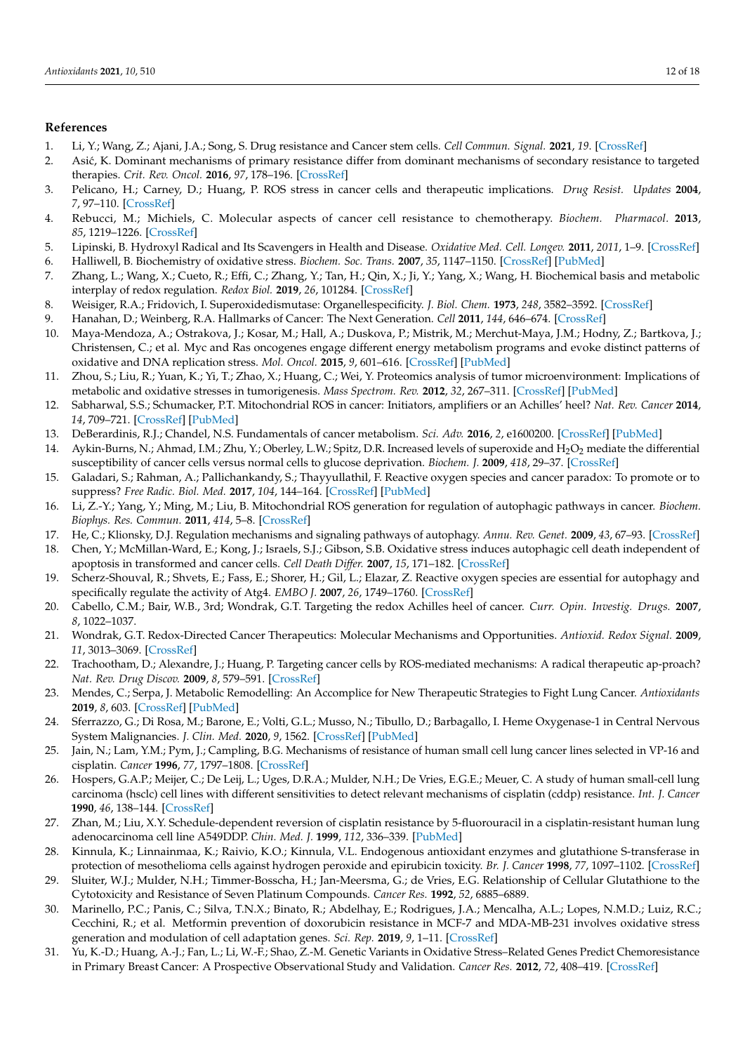## **References**

- <span id="page-11-0"></span>1. Li, Y.; Wang, Z.; Ajani, J.A.; Song, S. Drug resistance and Cancer stem cells. *Cell Commun. Signal.* **2021**, *19*. [\[CrossRef\]](http://doi.org/10.1186/s12964-020-00627-5)
- <span id="page-11-1"></span>2. Asi´c, K. Dominant mechanisms of primary resistance differ from dominant mechanisms of secondary resistance to targeted therapies. *Crit. Rev. Oncol.* **2016**, *97*, 178–196. [\[CrossRef\]](http://doi.org/10.1016/j.critrevonc.2015.08.004)
- <span id="page-11-2"></span>3. Pelicano, H.; Carney, D.; Huang, P. ROS stress in cancer cells and therapeutic implications. *Drug Resist. Updates* **2004**, *7*, 97–110. [\[CrossRef\]](http://doi.org/10.1016/j.drup.2004.01.004)
- <span id="page-11-3"></span>4. Rebucci, M.; Michiels, C. Molecular aspects of cancer cell resistance to chemotherapy. *Biochem. Pharmacol.* **2013**, *85*, 1219–1226. [\[CrossRef\]](http://doi.org/10.1016/j.bcp.2013.02.017)
- <span id="page-11-4"></span>5. Lipinski, B. Hydroxyl Radical and Its Scavengers in Health and Disease. *Oxidative Med. Cell. Longev.* **2011**, *2011*, 1–9. [\[CrossRef\]](http://doi.org/10.1155/2011/809696)
- <span id="page-11-5"></span>6. Halliwell, B. Biochemistry of oxidative stress. *Biochem. Soc. Trans.* **2007**, *35*, 1147–1150. [\[CrossRef\]](http://doi.org/10.1042/BST0351147) [\[PubMed\]](http://www.ncbi.nlm.nih.gov/pubmed/17956298)
- <span id="page-11-6"></span>7. Zhang, L.; Wang, X.; Cueto, R.; Effi, C.; Zhang, Y.; Tan, H.; Qin, X.; Ji, Y.; Yang, X.; Wang, H. Biochemical basis and metabolic interplay of redox regulation. *Redox Biol.* **2019**, *26*, 101284. [\[CrossRef\]](http://doi.org/10.1016/j.redox.2019.101284)
- <span id="page-11-7"></span>8. Weisiger, R.A.; Fridovich, I. Superoxidedismutase: Organellespecificity. *J. Biol. Chem.* **1973**, *248*, 3582–3592. [\[CrossRef\]](http://doi.org/10.1016/S0021-9258(19)43969-0)
- <span id="page-11-8"></span>9. Hanahan, D.; Weinberg, R.A. Hallmarks of Cancer: The Next Generation. *Cell* **2011**, *144*, 646–674. [\[CrossRef\]](http://doi.org/10.1016/j.cell.2011.02.013)
- <span id="page-11-9"></span>10. Maya-Mendoza, A.; Ostrakova, J.; Kosar, M.; Hall, A.; Duskova, P.; Mistrik, M.; Merchut-Maya, J.M.; Hodny, Z.; Bartkova, J.; Christensen, C.; et al. Myc and Ras oncogenes engage different energy metabolism programs and evoke distinct patterns of oxidative and DNA replication stress. *Mol. Oncol.* **2015**, *9*, 601–616. [\[CrossRef\]](http://doi.org/10.1016/j.molonc.2014.11.001) [\[PubMed\]](http://www.ncbi.nlm.nih.gov/pubmed/25435281)
- <span id="page-11-10"></span>11. Zhou, S.; Liu, R.; Yuan, K.; Yi, T.; Zhao, X.; Huang, C.; Wei, Y. Proteomics analysis of tumor microenvironment: Implications of metabolic and oxidative stresses in tumorigenesis. *Mass Spectrom. Rev.* **2012**, *32*, 267–311. [\[CrossRef\]](http://doi.org/10.1002/mas.21362) [\[PubMed\]](http://www.ncbi.nlm.nih.gov/pubmed/23165949)
- <span id="page-11-11"></span>12. Sabharwal, S.S.; Schumacker, P.T. Mitochondrial ROS in cancer: Initiators, amplifiers or an Achilles' heel? *Nat. Rev. Cancer* **2014**, *14*, 709–721. [\[CrossRef\]](http://doi.org/10.1038/nrc3803) [\[PubMed\]](http://www.ncbi.nlm.nih.gov/pubmed/25342630)
- <span id="page-11-12"></span>13. DeBerardinis, R.J.; Chandel, N.S. Fundamentals of cancer metabolism. *Sci. Adv.* **2016**, *2*, e1600200. [\[CrossRef\]](http://doi.org/10.1126/sciadv.1600200) [\[PubMed\]](http://www.ncbi.nlm.nih.gov/pubmed/27386546)
- <span id="page-11-13"></span>14. Aykin-Burns, N.; Ahmad, I.M.; Zhu, Y.; Oberley, L.W.; Spitz, D.R. Increased levels of superoxide and H<sub>2</sub>O<sub>2</sub> mediate the differential susceptibility of cancer cells versus normal cells to glucose deprivation. *Biochem. J.* **2009**, *418*, 29–37. [\[CrossRef\]](http://doi.org/10.1042/BJ20081258)
- <span id="page-11-14"></span>15. Galadari, S.; Rahman, A.; Pallichankandy, S.; Thayyullathil, F. Reactive oxygen species and cancer paradox: To promote or to suppress? *Free Radic. Biol. Med.* **2017**, *104*, 144–164. [\[CrossRef\]](http://doi.org/10.1016/j.freeradbiomed.2017.01.004) [\[PubMed\]](http://www.ncbi.nlm.nih.gov/pubmed/28088622)
- <span id="page-11-15"></span>16. Li, Z.-Y.; Yang, Y.; Ming, M.; Liu, B. Mitochondrial ROS generation for regulation of autophagic pathways in cancer. *Biochem. Biophys. Res. Commun.* **2011**, *414*, 5–8. [\[CrossRef\]](http://doi.org/10.1016/j.bbrc.2011.09.046)
- <span id="page-11-16"></span>17. He, C.; Klionsky, D.J. Regulation mechanisms and signaling pathways of autophagy. *Annu. Rev. Genet.* **2009**, *43*, 67–93. [\[CrossRef\]](http://doi.org/10.1146/annurev-genet-102808-114910)
- <span id="page-11-17"></span>18. Chen, Y.; McMillan-Ward, E.; Kong, J.; Israels, S.J.; Gibson, S.B. Oxidative stress induces autophagic cell death independent of apoptosis in transformed and cancer cells. *Cell Death Differ.* **2007**, *15*, 171–182. [\[CrossRef\]](http://doi.org/10.1038/sj.cdd.4402233)
- <span id="page-11-18"></span>19. Scherz-Shouval, R.; Shvets, E.; Fass, E.; Shorer, H.; Gil, L.; Elazar, Z. Reactive oxygen species are essential for autophagy and specifically regulate the activity of Atg4. *EMBO J.* **2007**, *26*, 1749–1760. [\[CrossRef\]](http://doi.org/10.1038/sj.emboj.7601623)
- <span id="page-11-19"></span>20. Cabello, C.M.; Bair, W.B., 3rd; Wondrak, G.T. Targeting the redox Achilles heel of cancer. *Curr. Opin. Investig. Drugs.* **2007**, *8*, 1022–1037.
- <span id="page-11-20"></span>21. Wondrak, G.T. Redox-Directed Cancer Therapeutics: Molecular Mechanisms and Opportunities. *Antioxid. Redox Signal.* **2009**, *11*, 3013–3069. [\[CrossRef\]](http://doi.org/10.1089/ars.2009.2541)
- <span id="page-11-21"></span>22. Trachootham, D.; Alexandre, J.; Huang, P. Targeting cancer cells by ROS-mediated mechanisms: A radical therapeutic ap-proach? *Nat. Rev. Drug Discov.* **2009**, *8*, 579–591. [\[CrossRef\]](http://doi.org/10.1038/nrd2803)
- <span id="page-11-22"></span>23. Mendes, C.; Serpa, J. Metabolic Remodelling: An Accomplice for New Therapeutic Strategies to Fight Lung Cancer. *Antioxidants* **2019**, *8*, 603. [\[CrossRef\]](http://doi.org/10.3390/antiox8120603) [\[PubMed\]](http://www.ncbi.nlm.nih.gov/pubmed/31795465)
- <span id="page-11-23"></span>24. Sferrazzo, G.; Di Rosa, M.; Barone, E.; Volti, G.L.; Musso, N.; Tibullo, D.; Barbagallo, I. Heme Oxygenase-1 in Central Nervous System Malignancies. *J. Clin. Med.* **2020**, *9*, 1562. [\[CrossRef\]](http://doi.org/10.3390/jcm9051562) [\[PubMed\]](http://www.ncbi.nlm.nih.gov/pubmed/32455831)
- <span id="page-11-24"></span>25. Jain, N.; Lam, Y.M.; Pym, J.; Campling, B.G. Mechanisms of resistance of human small cell lung cancer lines selected in VP-16 and cisplatin. *Cancer* **1996**, *77*, 1797–1808. [\[CrossRef\]](http://doi.org/10.1002/(SICI)1097-0142(19960501)77:9<1797::AID-CNCR7>3.0.CO;2-9)
- <span id="page-11-25"></span>26. Hospers, G.A.P.; Meijer, C.; De Leij, L.; Uges, D.R.A.; Mulder, N.H.; De Vries, E.G.E.; Meuer, C. A study of human small-cell lung carcinoma (hsclc) cell lines with different sensitivities to detect relevant mechanisms of cisplatin (cddp) resistance. *Int. J. Cancer* **1990**, *46*, 138–144. [\[CrossRef\]](http://doi.org/10.1002/ijc.2910460125)
- <span id="page-11-26"></span>27. Zhan, M.; Liu, X.Y. Schedule-dependent reversion of cisplatin resistance by 5-fluorouracil in a cisplatin-resistant human lung adenocarcinoma cell line A549DDP. *Chin. Med. J.* **1999**, *112*, 336–339. [\[PubMed\]](http://www.ncbi.nlm.nih.gov/pubmed/11593534)
- <span id="page-11-27"></span>28. Kinnula, K.; Linnainmaa, K.; Raivio, K.O.; Kinnula, V.L. Endogenous antioxidant enzymes and glutathione S-transferase in protection of mesothelioma cells against hydrogen peroxide and epirubicin toxicity. *Br. J. Cancer* **1998**, *77*, 1097–1102. [\[CrossRef\]](http://doi.org/10.1038/bjc.1998.182)
- <span id="page-11-28"></span>29. Sluiter, W.J.; Mulder, N.H.; Timmer-Bosscha, H.; Jan-Meersma, G.; de Vries, E.G. Relationship of Cellular Glutathione to the Cytotoxicity and Resistance of Seven Platinum Compounds. *Cancer Res.* **1992**, *52*, 6885–6889.
- <span id="page-11-29"></span>30. Marinello, P.C.; Panis, C.; Silva, T.N.X.; Binato, R.; Abdelhay, E.; Rodrigues, J.A.; Mencalha, A.L.; Lopes, N.M.D.; Luiz, R.C.; Cecchini, R.; et al. Metformin prevention of doxorubicin resistance in MCF-7 and MDA-MB-231 involves oxidative stress generation and modulation of cell adaptation genes. *Sci. Rep.* **2019**, *9*, 1–11. [\[CrossRef\]](http://doi.org/10.1038/s41598-019-42357-w)
- <span id="page-11-30"></span>31. Yu, K.-D.; Huang, A.-J.; Fan, L.; Li, W.-F.; Shao, Z.-M. Genetic Variants in Oxidative Stress–Related Genes Predict Chemoresistance in Primary Breast Cancer: A Prospective Observational Study and Validation. *Cancer Res.* **2012**, *72*, 408–419. [\[CrossRef\]](http://doi.org/10.1158/0008-5472.CAN-11-2998)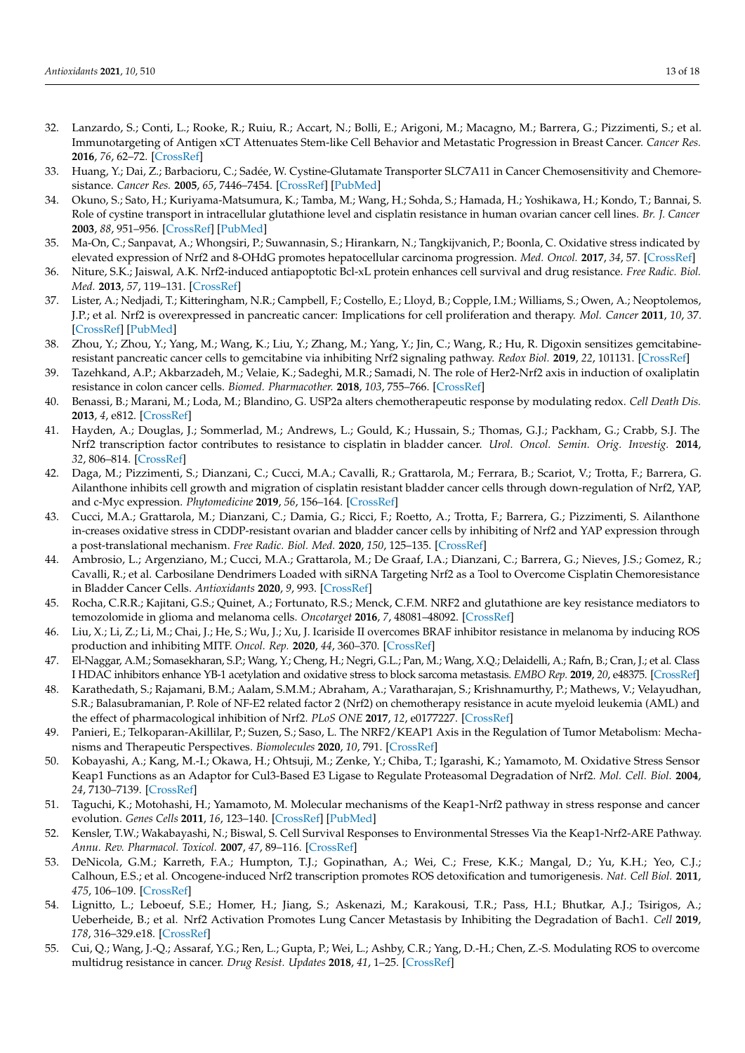- <span id="page-12-0"></span>32. Lanzardo, S.; Conti, L.; Rooke, R.; Ruiu, R.; Accart, N.; Bolli, E.; Arigoni, M.; Macagno, M.; Barrera, G.; Pizzimenti, S.; et al. Immunotargeting of Antigen xCT Attenuates Stem-like Cell Behavior and Metastatic Progression in Breast Cancer. *Cancer Res.* **2016**, *76*, 62–72. [\[CrossRef\]](http://doi.org/10.1158/0008-5472.CAN-15-1208)
- <span id="page-12-1"></span>33. Huang, Y.; Dai, Z.; Barbacioru, C.; Sadée, W. Cystine-Glutamate Transporter SLC7A11 in Cancer Chemosensitivity and Chemoresistance. *Cancer Res.* **2005**, *65*, 7446–7454. [\[CrossRef\]](http://doi.org/10.1158/0008-5472.CAN-04-4267) [\[PubMed\]](http://www.ncbi.nlm.nih.gov/pubmed/16103098)
- <span id="page-12-2"></span>34. Okuno, S.; Sato, H.; Kuriyama-Matsumura, K.; Tamba, M.; Wang, H.; Sohda, S.; Hamada, H.; Yoshikawa, H.; Kondo, T.; Bannai, S. Role of cystine transport in intracellular glutathione level and cisplatin resistance in human ovarian cancer cell lines. *Br. J. Cancer* **2003**, *88*, 951–956. [\[CrossRef\]](http://doi.org/10.1038/sj.bjc.6600786) [\[PubMed\]](http://www.ncbi.nlm.nih.gov/pubmed/12644836)
- <span id="page-12-3"></span>35. Ma-On, C.; Sanpavat, A.; Whongsiri, P.; Suwannasin, S.; Hirankarn, N.; Tangkijvanich, P.; Boonla, C. Oxidative stress indicated by elevated expression of Nrf2 and 8-OHdG promotes hepatocellular carcinoma progression. *Med. Oncol.* **2017**, *34*, 57. [\[CrossRef\]](http://doi.org/10.1007/s12032-017-0914-5)
- <span id="page-12-4"></span>36. Niture, S.K.; Jaiswal, A.K. Nrf2-induced antiapoptotic Bcl-xL protein enhances cell survival and drug resistance. *Free Radic. Biol. Med.* **2013**, *57*, 119–131. [\[CrossRef\]](http://doi.org/10.1016/j.freeradbiomed.2012.12.014)
- <span id="page-12-5"></span>37. Lister, A.; Nedjadi, T.; Kitteringham, N.R.; Campbell, F.; Costello, E.; Lloyd, B.; Copple, I.M.; Williams, S.; Owen, A.; Neoptolemos, J.P.; et al. Nrf2 is overexpressed in pancreatic cancer: Implications for cell proliferation and therapy. *Mol. Cancer* **2011**, *10*, 37. [\[CrossRef\]](http://doi.org/10.1186/1476-4598-10-37) [\[PubMed\]](http://www.ncbi.nlm.nih.gov/pubmed/21489257)
- <span id="page-12-6"></span>38. Zhou, Y.; Zhou, Y.; Yang, M.; Wang, K.; Liu, Y.; Zhang, M.; Yang, Y.; Jin, C.; Wang, R.; Hu, R. Digoxin sensitizes gemcitabineresistant pancreatic cancer cells to gemcitabine via inhibiting Nrf2 signaling pathway. *Redox Biol.* **2019**, *22*, 101131. [\[CrossRef\]](http://doi.org/10.1016/j.redox.2019.101131)
- <span id="page-12-7"></span>39. Tazehkand, A.P.; Akbarzadeh, M.; Velaie, K.; Sadeghi, M.R.; Samadi, N. The role of Her2-Nrf2 axis in induction of oxaliplatin resistance in colon cancer cells. *Biomed. Pharmacother.* **2018**, *103*, 755–766. [\[CrossRef\]](http://doi.org/10.1016/j.biopha.2018.04.105)
- <span id="page-12-8"></span>40. Benassi, B.; Marani, M.; Loda, M.; Blandino, G. USP2a alters chemotherapeutic response by modulating redox. *Cell Death Dis.* **2013**, *4*, e812. [\[CrossRef\]](http://doi.org/10.1038/cddis.2013.289)
- <span id="page-12-9"></span>41. Hayden, A.; Douglas, J.; Sommerlad, M.; Andrews, L.; Gould, K.; Hussain, S.; Thomas, G.J.; Packham, G.; Crabb, S.J. The Nrf2 transcription factor contributes to resistance to cisplatin in bladder cancer. *Urol. Oncol. Semin. Orig. Investig.* **2014**, *32*, 806–814. [\[CrossRef\]](http://doi.org/10.1016/j.urolonc.2014.02.006)
- <span id="page-12-10"></span>42. Daga, M.; Pizzimenti, S.; Dianzani, C.; Cucci, M.A.; Cavalli, R.; Grattarola, M.; Ferrara, B.; Scariot, V.; Trotta, F.; Barrera, G. Ailanthone inhibits cell growth and migration of cisplatin resistant bladder cancer cells through down-regulation of Nrf2, YAP, and c-Myc expression. *Phytomedicine* **2019**, *56*, 156–164. [\[CrossRef\]](http://doi.org/10.1016/j.phymed.2018.10.034)
- <span id="page-12-11"></span>43. Cucci, M.A.; Grattarola, M.; Dianzani, C.; Damia, G.; Ricci, F.; Roetto, A.; Trotta, F.; Barrera, G.; Pizzimenti, S. Ailanthone in-creases oxidative stress in CDDP-resistant ovarian and bladder cancer cells by inhibiting of Nrf2 and YAP expression through a post-translational mechanism. *Free Radic. Biol. Med.* **2020**, *150*, 125–135. [\[CrossRef\]](http://doi.org/10.1016/j.freeradbiomed.2020.02.021)
- <span id="page-12-12"></span>44. Ambrosio, L.; Argenziano, M.; Cucci, M.A.; Grattarola, M.; De Graaf, I.A.; Dianzani, C.; Barrera, G.; Nieves, J.S.; Gomez, R.; Cavalli, R.; et al. Carbosilane Dendrimers Loaded with siRNA Targeting Nrf2 as a Tool to Overcome Cisplatin Chemoresistance in Bladder Cancer Cells. *Antioxidants* **2020**, *9*, 993. [\[CrossRef\]](http://doi.org/10.3390/antiox9100993)
- <span id="page-12-13"></span>45. Rocha, C.R.R.; Kajitani, G.S.; Quinet, A.; Fortunato, R.S.; Menck, C.F.M. NRF2 and glutathione are key resistance mediators to temozolomide in glioma and melanoma cells. *Oncotarget* **2016**, *7*, 48081–48092. [\[CrossRef\]](http://doi.org/10.18632/oncotarget.10129)
- <span id="page-12-14"></span>46. Liu, X.; Li, Z.; Li, M.; Chai, J.; He, S.; Wu, J.; Xu, J. Icariside II overcomes BRAF inhibitor resistance in melanoma by inducing ROS production and inhibiting MITF. *Oncol. Rep.* **2020**, *44*, 360–370. [\[CrossRef\]](http://doi.org/10.3892/or.2020.7582)
- <span id="page-12-15"></span>47. El-Naggar, A.M.; Somasekharan, S.P.; Wang, Y.; Cheng, H.; Negri, G.L.; Pan, M.; Wang, X.Q.; Delaidelli, A.; Rafn, B.; Cran, J.; et al. Class I HDAC inhibitors enhance YB-1 acetylation and oxidative stress to block sarcoma metastasis. *EMBO Rep.* **2019**, *20*, e48375. [\[CrossRef\]](http://doi.org/10.15252/embr.201948375)
- <span id="page-12-16"></span>48. Karathedath, S.; Rajamani, B.M.; Aalam, S.M.M.; Abraham, A.; Varatharajan, S.; Krishnamurthy, P.; Mathews, V.; Velayudhan, S.R.; Balasubramanian, P. Role of NF-E2 related factor 2 (Nrf2) on chemotherapy resistance in acute myeloid leukemia (AML) and the effect of pharmacological inhibition of Nrf2. *PLoS ONE* **2017**, *12*, e0177227. [\[CrossRef\]](http://doi.org/10.1371/journal.pone.0177227)
- <span id="page-12-17"></span>49. Panieri, E.; Telkoparan-Akillilar, P.; Suzen, S.; Saso, L. The NRF2/KEAP1 Axis in the Regulation of Tumor Metabolism: Mechanisms and Therapeutic Perspectives. *Biomolecules* **2020**, *10*, 791. [\[CrossRef\]](http://doi.org/10.3390/biom10050791)
- <span id="page-12-18"></span>50. Kobayashi, A.; Kang, M.-I.; Okawa, H.; Ohtsuji, M.; Zenke, Y.; Chiba, T.; Igarashi, K.; Yamamoto, M. Oxidative Stress Sensor Keap1 Functions as an Adaptor for Cul3-Based E3 Ligase to Regulate Proteasomal Degradation of Nrf2. *Mol. Cell. Biol.* **2004**, *24*, 7130–7139. [\[CrossRef\]](http://doi.org/10.1128/MCB.24.16.7130-7139.2004)
- <span id="page-12-19"></span>51. Taguchi, K.; Motohashi, H.; Yamamoto, M. Molecular mechanisms of the Keap1-Nrf2 pathway in stress response and cancer evolution. *Genes Cells* **2011**, *16*, 123–140. [\[CrossRef\]](http://doi.org/10.1111/j.1365-2443.2010.01473.x) [\[PubMed\]](http://www.ncbi.nlm.nih.gov/pubmed/21251164)
- <span id="page-12-20"></span>52. Kensler, T.W.; Wakabayashi, N.; Biswal, S. Cell Survival Responses to Environmental Stresses Via the Keap1-Nrf2-ARE Pathway. *Annu. Rev. Pharmacol. Toxicol.* **2007**, *47*, 89–116. [\[CrossRef\]](http://doi.org/10.1146/annurev.pharmtox.46.120604.141046)
- <span id="page-12-21"></span>53. DeNicola, G.M.; Karreth, F.A.; Humpton, T.J.; Gopinathan, A.; Wei, C.; Frese, K.K.; Mangal, D.; Yu, K.H.; Yeo, C.J.; Calhoun, E.S.; et al. Oncogene-induced Nrf2 transcription promotes ROS detoxification and tumorigenesis. *Nat. Cell Biol.* **2011**, *475*, 106–109. [\[CrossRef\]](http://doi.org/10.1038/nature10189)
- <span id="page-12-22"></span>54. Lignitto, L.; Leboeuf, S.E.; Homer, H.; Jiang, S.; Askenazi, M.; Karakousi, T.R.; Pass, H.I.; Bhutkar, A.J.; Tsirigos, A.; Ueberheide, B.; et al. Nrf2 Activation Promotes Lung Cancer Metastasis by Inhibiting the Degradation of Bach1. *Cell* **2019**, *178*, 316–329.e18. [\[CrossRef\]](http://doi.org/10.1016/j.cell.2019.06.003)
- <span id="page-12-23"></span>55. Cui, Q.; Wang, J.-Q.; Assaraf, Y.G.; Ren, L.; Gupta, P.; Wei, L.; Ashby, C.R.; Yang, D.-H.; Chen, Z.-S. Modulating ROS to overcome multidrug resistance in cancer. *Drug Resist. Updates* **2018**, *41*, 1–25. [\[CrossRef\]](http://doi.org/10.1016/j.drup.2018.11.001)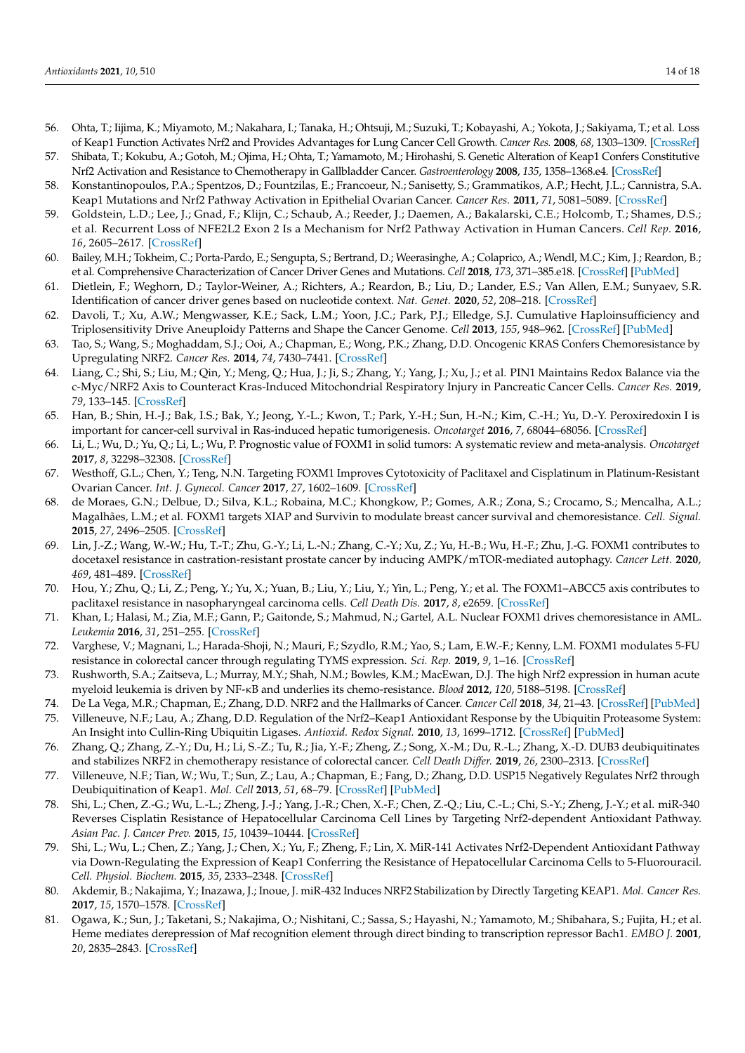- <span id="page-13-0"></span>56. Ohta, T.; Iijima, K.; Miyamoto, M.; Nakahara, I.; Tanaka, H.; Ohtsuji, M.; Suzuki, T.; Kobayashi, A.; Yokota, J.; Sakiyama, T.; et al. Loss of Keap1 Function Activates Nrf2 and Provides Advantages for Lung Cancer Cell Growth. *Cancer Res.* **2008**, *68*, 1303–1309. [\[CrossRef\]](http://doi.org/10.1158/0008-5472.CAN-07-5003)
- <span id="page-13-1"></span>57. Shibata, T.; Kokubu, A.; Gotoh, M.; Ojima, H.; Ohta, T.; Yamamoto, M.; Hirohashi, S. Genetic Alteration of Keap1 Confers Constitutive Nrf2 Activation and Resistance to Chemotherapy in Gallbladder Cancer. *Gastroenterology* **2008**, *135*, 1358–1368.e4. [\[CrossRef\]](http://doi.org/10.1053/j.gastro.2008.06.082)
- <span id="page-13-2"></span>58. Konstantinopoulos, P.A.; Spentzos, D.; Fountzilas, E.; Francoeur, N.; Sanisetty, S.; Grammatikos, A.P.; Hecht, J.L.; Cannistra, S.A. Keap1 Mutations and Nrf2 Pathway Activation in Epithelial Ovarian Cancer. *Cancer Res.* **2011**, *71*, 5081–5089. [\[CrossRef\]](http://doi.org/10.1158/0008-5472.CAN-10-4668)
- <span id="page-13-3"></span>59. Goldstein, L.D.; Lee, J.; Gnad, F.; Klijn, C.; Schaub, A.; Reeder, J.; Daemen, A.; Bakalarski, C.E.; Holcomb, T.; Shames, D.S.; et al. Recurrent Loss of NFE2L2 Exon 2 Is a Mechanism for Nrf2 Pathway Activation in Human Cancers. *Cell Rep.* **2016**, *16*, 2605–2617. [\[CrossRef\]](http://doi.org/10.1016/j.celrep.2016.08.010)
- <span id="page-13-4"></span>60. Bailey, M.H.; Tokheim, C.; Porta-Pardo, E.; Sengupta, S.; Bertrand, D.; Weerasinghe, A.; Colaprico, A.; Wendl, M.C.; Kim, J.; Reardon, B.; et al. Comprehensive Characterization of Cancer Driver Genes and Mutations. *Cell* **2018**, *173*, 371–385.e18. [\[CrossRef\]](http://doi.org/10.1016/j.cell.2018.02.060) [\[PubMed\]](http://www.ncbi.nlm.nih.gov/pubmed/29625053)
- <span id="page-13-5"></span>61. Dietlein, F.; Weghorn, D.; Taylor-Weiner, A.; Richters, A.; Reardon, B.; Liu, D.; Lander, E.S.; Van Allen, E.M.; Sunyaev, S.R. Identification of cancer driver genes based on nucleotide context. *Nat. Genet.* **2020**, *52*, 208–218. [\[CrossRef\]](http://doi.org/10.1038/s41588-019-0572-y)
- <span id="page-13-6"></span>62. Davoli, T.; Xu, A.W.; Mengwasser, K.E.; Sack, L.M.; Yoon, J.C.; Park, P.J.; Elledge, S.J. Cumulative Haploinsufficiency and Triplosensitivity Drive Aneuploidy Patterns and Shape the Cancer Genome. *Cell* **2013**, *155*, 948–962. [\[CrossRef\]](http://doi.org/10.1016/j.cell.2013.10.011) [\[PubMed\]](http://www.ncbi.nlm.nih.gov/pubmed/24183448)
- <span id="page-13-7"></span>63. Tao, S.; Wang, S.; Moghaddam, S.J.; Ooi, A.; Chapman, E.; Wong, P.K.; Zhang, D.D. Oncogenic KRAS Confers Chemoresistance by Upregulating NRF2. *Cancer Res.* **2014**, *74*, 7430–7441. [\[CrossRef\]](http://doi.org/10.1158/0008-5472.CAN-14-1439)
- <span id="page-13-8"></span>64. Liang, C.; Shi, S.; Liu, M.; Qin, Y.; Meng, Q.; Hua, J.; Ji, S.; Zhang, Y.; Yang, J.; Xu, J.; et al. PIN1 Maintains Redox Balance via the c-Myc/NRF2 Axis to Counteract Kras-Induced Mitochondrial Respiratory Injury in Pancreatic Cancer Cells. *Cancer Res.* **2019**, *79*, 133–145. [\[CrossRef\]](http://doi.org/10.1158/0008-5472.CAN-18-1968)
- <span id="page-13-9"></span>65. Han, B.; Shin, H.-J.; Bak, I.S.; Bak, Y.; Jeong, Y.-L.; Kwon, T.; Park, Y.-H.; Sun, H.-N.; Kim, C.-H.; Yu, D.-Y. Peroxiredoxin I is important for cancer-cell survival in Ras-induced hepatic tumorigenesis. *Oncotarget* **2016**, *7*, 68044–68056. [\[CrossRef\]](http://doi.org/10.18632/oncotarget.11172)
- <span id="page-13-10"></span>66. Li, L.; Wu, D.; Yu, Q.; Li, L.; Wu, P. Prognostic value of FOXM1 in solid tumors: A systematic review and meta-analysis. *Oncotarget* **2017**, *8*, 32298–32308. [\[CrossRef\]](http://doi.org/10.18632/oncotarget.15764)
- <span id="page-13-11"></span>67. Westhoff, G.L.; Chen, Y.; Teng, N.N. Targeting FOXM1 Improves Cytotoxicity of Paclitaxel and Cisplatinum in Platinum-Resistant Ovarian Cancer. *Int. J. Gynecol. Cancer* **2017**, *27*, 1602–1609. [\[CrossRef\]](http://doi.org/10.1097/IGC.0000000000001063)
- 68. de Moraes, G.N.; Delbue, D.; Silva, K.L.; Robaina, M.C.; Khongkow, P.; Gomes, A.R.; Zona, S.; Crocamo, S.; Mencalha, A.L.; Magalhães, L.M.; et al. FOXM1 targets XIAP and Survivin to modulate breast cancer survival and chemoresistance. *Cell. Signal.* **2015**, *27*, 2496–2505. [\[CrossRef\]](http://doi.org/10.1016/j.cellsig.2015.09.013)
- 69. Lin, J.-Z.; Wang, W.-W.; Hu, T.-T.; Zhu, G.-Y.; Li, L.-N.; Zhang, C.-Y.; Xu, Z.; Yu, H.-B.; Wu, H.-F.; Zhu, J.-G. FOXM1 contributes to docetaxel resistance in castration-resistant prostate cancer by inducing AMPK/mTOR-mediated autophagy. *Cancer Lett.* **2020**, *469*, 481–489. [\[CrossRef\]](http://doi.org/10.1016/j.canlet.2019.11.014)
- 70. Hou, Y.; Zhu, Q.; Li, Z.; Peng, Y.; Yu, X.; Yuan, B.; Liu, Y.; Liu, Y.; Yin, L.; Peng, Y.; et al. The FOXM1–ABCC5 axis contributes to paclitaxel resistance in nasopharyngeal carcinoma cells. *Cell Death Dis.* **2017**, *8*, e2659. [\[CrossRef\]](http://doi.org/10.1038/cddis.2017.53)
- 71. Khan, I.; Halasi, M.; Zia, M.F.; Gann, P.; Gaitonde, S.; Mahmud, N.; Gartel, A.L. Nuclear FOXM1 drives chemoresistance in AML. *Leukemia* **2016**, *31*, 251–255. [\[CrossRef\]](http://doi.org/10.1038/leu.2016.270)
- <span id="page-13-12"></span>72. Varghese, V.; Magnani, L.; Harada-Shoji, N.; Mauri, F.; Szydlo, R.M.; Yao, S.; Lam, E.W.-F.; Kenny, L.M. FOXM1 modulates 5-FU resistance in colorectal cancer through regulating TYMS expression. *Sci. Rep.* **2019**, *9*, 1–16. [\[CrossRef\]](http://doi.org/10.1038/s41598-018-38017-0)
- <span id="page-13-13"></span>73. Rushworth, S.A.; Zaitseva, L.; Murray, M.Y.; Shah, N.M.; Bowles, K.M.; MacEwan, D.J. The high Nrf2 expression in human acute myeloid leukemia is driven by NF-κB and underlies its chemo-resistance. *Blood* **2012**, *120*, 5188–5198. [\[CrossRef\]](http://doi.org/10.1182/blood-2012-04-422121)
- <span id="page-13-14"></span>74. De La Vega, M.R.; Chapman, E.; Zhang, D.D. NRF2 and the Hallmarks of Cancer. *Cancer Cell* **2018**, *34*, 21–43. [\[CrossRef\]](http://doi.org/10.1016/j.ccell.2018.03.022) [\[PubMed\]](http://www.ncbi.nlm.nih.gov/pubmed/29731393)
- <span id="page-13-15"></span>75. Villeneuve, N.F.; Lau, A.; Zhang, D.D. Regulation of the Nrf2–Keap1 Antioxidant Response by the Ubiquitin Proteasome System: An Insight into Cullin-Ring Ubiquitin Ligases. *Antioxid. Redox Signal.* **2010**, *13*, 1699–1712. [\[CrossRef\]](http://doi.org/10.1089/ars.2010.3211) [\[PubMed\]](http://www.ncbi.nlm.nih.gov/pubmed/20486766)
- <span id="page-13-16"></span>76. Zhang, Q.; Zhang, Z.-Y.; Du, H.; Li, S.-Z.; Tu, R.; Jia, Y.-F.; Zheng, Z.; Song, X.-M.; Du, R.-L.; Zhang, X.-D. DUB3 deubiquitinates and stabilizes NRF2 in chemotherapy resistance of colorectal cancer. *Cell Death Differ.* **2019**, *26*, 2300–2313. [\[CrossRef\]](http://doi.org/10.1038/s41418-019-0303-z)
- <span id="page-13-17"></span>77. Villeneuve, N.F.; Tian, W.; Wu, T.; Sun, Z.; Lau, A.; Chapman, E.; Fang, D.; Zhang, D.D. USP15 Negatively Regulates Nrf2 through Deubiquitination of Keap1. *Mol. Cell* **2013**, *51*, 68–79. [\[CrossRef\]](http://doi.org/10.1016/j.molcel.2013.04.022) [\[PubMed\]](http://www.ncbi.nlm.nih.gov/pubmed/23727018)
- <span id="page-13-18"></span>78. Shi, L.; Chen, Z.-G.; Wu, L.-L.; Zheng, J.-J.; Yang, J.-R.; Chen, X.-F.; Chen, Z.-Q.; Liu, C.-L.; Chi, S.-Y.; Zheng, J.-Y.; et al. miR-340 Reverses Cisplatin Resistance of Hepatocellular Carcinoma Cell Lines by Targeting Nrf2-dependent Antioxidant Pathway. *Asian Pac. J. Cancer Prev.* **2015**, *15*, 10439–10444. [\[CrossRef\]](http://doi.org/10.7314/APJCP.2014.15.23.10439)
- <span id="page-13-19"></span>79. Shi, L.; Wu, L.; Chen, Z.; Yang, J.; Chen, X.; Yu, F.; Zheng, F.; Lin, X. MiR-141 Activates Nrf2-Dependent Antioxidant Pathway via Down-Regulating the Expression of Keap1 Conferring the Resistance of Hepatocellular Carcinoma Cells to 5-Fluorouracil. *Cell. Physiol. Biochem.* **2015**, *35*, 2333–2348. [\[CrossRef\]](http://doi.org/10.1159/000374036)
- <span id="page-13-20"></span>80. Akdemir, B.; Nakajima, Y.; Inazawa, J.; Inoue, J. miR-432 Induces NRF2 Stabilization by Directly Targeting KEAP1. *Mol. Cancer Res.* **2017**, *15*, 1570–1578. [\[CrossRef\]](http://doi.org/10.1158/1541-7786.MCR-17-0232)
- <span id="page-13-21"></span>81. Ogawa, K.; Sun, J.; Taketani, S.; Nakajima, O.; Nishitani, C.; Sassa, S.; Hayashi, N.; Yamamoto, M.; Shibahara, S.; Fujita, H.; et al. Heme mediates derepression of Maf recognition element through direct binding to transcription repressor Bach1. *EMBO J.* **2001**, *20*, 2835–2843. [\[CrossRef\]](http://doi.org/10.1093/emboj/20.11.2835)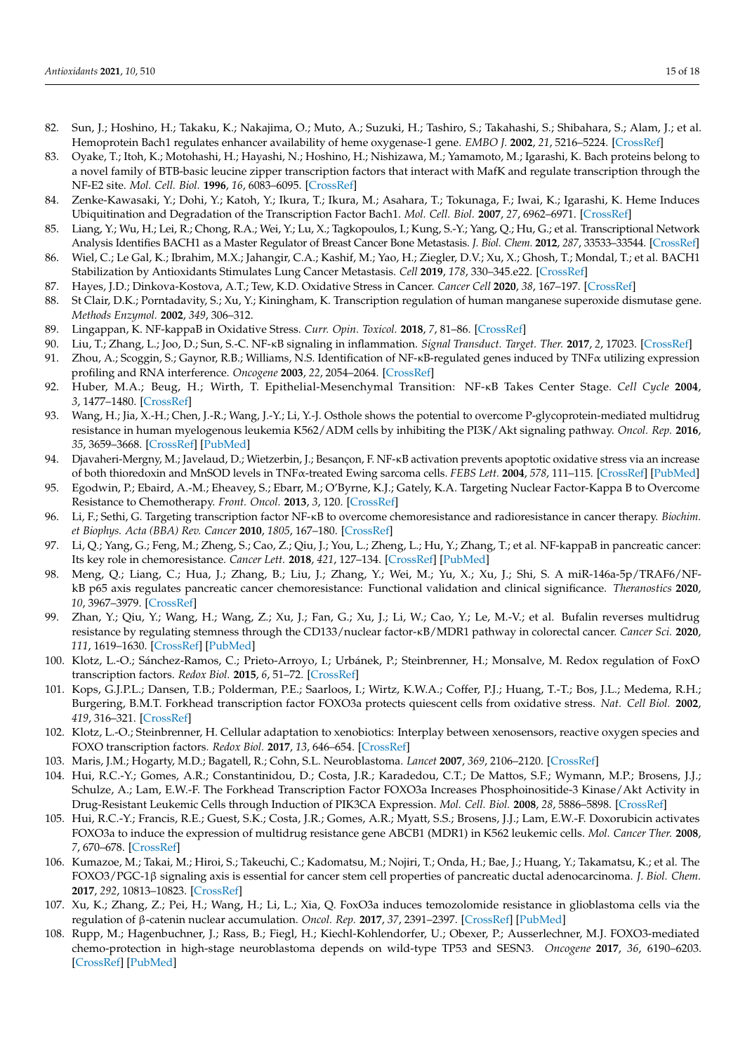- <span id="page-14-0"></span>82. Sun, J.; Hoshino, H.; Takaku, K.; Nakajima, O.; Muto, A.; Suzuki, H.; Tashiro, S.; Takahashi, S.; Shibahara, S.; Alam, J.; et al. Hemoprotein Bach1 regulates enhancer availability of heme oxygenase-1 gene. *EMBO J.* **2002**, *21*, 5216–5224. [\[CrossRef\]](http://doi.org/10.1093/emboj/cdf516)
- <span id="page-14-1"></span>83. Oyake, T.; Itoh, K.; Motohashi, H.; Hayashi, N.; Hoshino, H.; Nishizawa, M.; Yamamoto, M.; Igarashi, K. Bach proteins belong to a novel family of BTB-basic leucine zipper transcription factors that interact with MafK and regulate transcription through the NF-E2 site. *Mol. Cell. Biol.* **1996**, *16*, 6083–6095. [\[CrossRef\]](http://doi.org/10.1128/MCB.16.11.6083)
- <span id="page-14-2"></span>84. Zenke-Kawasaki, Y.; Dohi, Y.; Katoh, Y.; Ikura, T.; Ikura, M.; Asahara, T.; Tokunaga, F.; Iwai, K.; Igarashi, K. Heme Induces Ubiquitination and Degradation of the Transcription Factor Bach1. *Mol. Cell. Biol.* **2007**, *27*, 6962–6971. [\[CrossRef\]](http://doi.org/10.1128/MCB.02415-06)
- <span id="page-14-3"></span>85. Liang, Y.; Wu, H.; Lei, R.; Chong, R.A.; Wei, Y.; Lu, X.; Tagkopoulos, I.; Kung, S.-Y.; Yang, Q.; Hu, G.; et al. Transcriptional Network Analysis Identifies BACH1 as a Master Regulator of Breast Cancer Bone Metastasis. *J. Biol. Chem.* **2012**, *287*, 33533–33544. [\[CrossRef\]](http://doi.org/10.1074/jbc.M112.392332)
- <span id="page-14-4"></span>86. Wiel, C.; Le Gal, K.; Ibrahim, M.X.; Jahangir, C.A.; Kashif, M.; Yao, H.; Ziegler, D.V.; Xu, X.; Ghosh, T.; Mondal, T.; et al. BACH1 Stabilization by Antioxidants Stimulates Lung Cancer Metastasis. *Cell* **2019**, *178*, 330–345.e22. [\[CrossRef\]](http://doi.org/10.1016/j.cell.2019.06.005)
- <span id="page-14-5"></span>87. Hayes, J.D.; Dinkova-Kostova, A.T.; Tew, K.D. Oxidative Stress in Cancer. *Cancer Cell* **2020**, *38*, 167–197. [\[CrossRef\]](http://doi.org/10.1016/j.ccell.2020.06.001)
- <span id="page-14-6"></span>88. St Clair, D.K.; Porntadavity, S.; Xu, Y.; Kiningham, K. Transcription regulation of human manganese superoxide dismutase gene. *Methods Enzymol.* **2002**, *349*, 306–312.
- <span id="page-14-7"></span>89. Lingappan, K. NF-kappaB in Oxidative Stress. *Curr. Opin. Toxicol.* **2018**, *7*, 81–86. [\[CrossRef\]](http://doi.org/10.1016/j.cotox.2017.11.002)
- <span id="page-14-8"></span>90. Liu, T.; Zhang, L.; Joo, D.; Sun, S.-C. NF-κB signaling in inflammation. *Signal Transduct. Target. Ther.* **2017**, *2*, 17023. [\[CrossRef\]](http://doi.org/10.1038/sigtrans.2017.23)
- <span id="page-14-9"></span>91. Zhou, A.; Scoggin, S.; Gaynor, R.B.; Williams, N.S. Identification of NF-κB-regulated genes induced by TNFα utilizing expression profiling and RNA interference. *Oncogene* **2003**, *22*, 2054–2064. [\[CrossRef\]](http://doi.org/10.1038/sj.onc.1206262)
- <span id="page-14-10"></span>92. Huber, M.A.; Beug, H.; Wirth, T. Epithelial-Mesenchymal Transition: NF-κB Takes Center Stage. *Cell Cycle* **2004**, *3*, 1477–1480. [\[CrossRef\]](http://doi.org/10.4161/cc.3.12.1280)
- <span id="page-14-11"></span>93. Wang, H.; Jia, X.-H.; Chen, J.-R.; Wang, J.-Y.; Li, Y.-J. Osthole shows the potential to overcome P-glycoprotein-mediated multidrug resistance in human myelogenous leukemia K562/ADM cells by inhibiting the PI3K/Akt signaling pathway. *Oncol. Rep.* **2016**, *35*, 3659–3668. [\[CrossRef\]](http://doi.org/10.3892/or.2016.4730) [\[PubMed\]](http://www.ncbi.nlm.nih.gov/pubmed/27109742)
- <span id="page-14-12"></span>94. Djavaheri-Mergny, M.; Javelaud, D.; Wietzerbin, J.; Besançon, F. NF-κB activation prevents apoptotic oxidative stress via an increase of both thioredoxin and MnSOD levels in TNFα-treated Ewing sarcoma cells. *FEBS Lett.* **2004**, *578*, 111–115. [\[CrossRef\]](http://doi.org/10.1016/j.febslet.2004.10.082) [\[PubMed\]](http://www.ncbi.nlm.nih.gov/pubmed/15581626)
- <span id="page-14-13"></span>95. Egodwin, P.; Ebaird, A.-M.; Eheavey, S.; Ebarr, M.; O'Byrne, K.J.; Gately, K.A. Targeting Nuclear Factor-Kappa B to Overcome Resistance to Chemotherapy. *Front. Oncol.* **2013**, *3*, 120. [\[CrossRef\]](http://doi.org/10.3389/fonc.2013.00120)
- <span id="page-14-14"></span>96. Li, F.; Sethi, G. Targeting transcription factor NF-κB to overcome chemoresistance and radioresistance in cancer therapy. *Biochim. et Biophys. Acta (BBA) Rev. Cancer* **2010**, *1805*, 167–180. [\[CrossRef\]](http://doi.org/10.1016/j.bbcan.2010.01.002)
- <span id="page-14-15"></span>97. Li, Q.; Yang, G.; Feng, M.; Zheng, S.; Cao, Z.; Qiu, J.; You, L.; Zheng, L.; Hu, Y.; Zhang, T.; et al. NF-kappaB in pancreatic cancer: Its key role in chemoresistance. *Cancer Lett.* **2018**, *421*, 127–134. [\[CrossRef\]](http://doi.org/10.1016/j.canlet.2018.02.011) [\[PubMed\]](http://www.ncbi.nlm.nih.gov/pubmed/29432846)
- <span id="page-14-16"></span>98. Meng, Q.; Liang, C.; Hua, J.; Zhang, B.; Liu, J.; Zhang, Y.; Wei, M.; Yu, X.; Xu, J.; Shi, S. A miR-146a-5p/TRAF6/NFkB p65 axis regulates pancreatic cancer chemoresistance: Functional validation and clinical significance. *Theranostics* **2020**, *10*, 3967–3979. [\[CrossRef\]](http://doi.org/10.7150/thno.40566)
- <span id="page-14-17"></span>99. Zhan, Y.; Qiu, Y.; Wang, H.; Wang, Z.; Xu, J.; Fan, G.; Xu, J.; Li, W.; Cao, Y.; Le, M.-V.; et al. Bufalin reverses multidrug resistance by regulating stemness through the CD133/nuclear factor-κB/MDR1 pathway in colorectal cancer. *Cancer Sci.* **2020**, *111*, 1619–1630. [\[CrossRef\]](http://doi.org/10.1111/cas.14345) [\[PubMed\]](http://www.ncbi.nlm.nih.gov/pubmed/32058643)
- <span id="page-14-18"></span>100. Klotz, L.-O.; Sánchez-Ramos, C.; Prieto-Arroyo, I.; Urbánek, P.; Steinbrenner, H.; Monsalve, M. Redox regulation of FoxO transcription factors. *Redox Biol.* **2015**, *6*, 51–72. [\[CrossRef\]](http://doi.org/10.1016/j.redox.2015.06.019)
- <span id="page-14-19"></span>101. Kops, G.J.P.L.; Dansen, T.B.; Polderman, P.E.; Saarloos, I.; Wirtz, K.W.A.; Coffer, P.J.; Huang, T.-T.; Bos, J.L.; Medema, R.H.; Burgering, B.M.T. Forkhead transcription factor FOXO3a protects quiescent cells from oxidative stress. *Nat. Cell Biol.* **2002**, *419*, 316–321. [\[CrossRef\]](http://doi.org/10.1038/nature01036)
- <span id="page-14-20"></span>102. Klotz, L.-O.; Steinbrenner, H. Cellular adaptation to xenobiotics: Interplay between xenosensors, reactive oxygen species and FOXO transcription factors. *Redox Biol.* **2017**, *13*, 646–654. [\[CrossRef\]](http://doi.org/10.1016/j.redox.2017.07.015)
- <span id="page-14-21"></span>103. Maris, J.M.; Hogarty, M.D.; Bagatell, R.; Cohn, S.L. Neuroblastoma. *Lancet* **2007**, *369*, 2106–2120. [\[CrossRef\]](http://doi.org/10.1016/S0140-6736(07)60983-0)
- <span id="page-14-22"></span>104. Hui, R.C.-Y.; Gomes, A.R.; Constantinidou, D.; Costa, J.R.; Karadedou, C.T.; De Mattos, S.F.; Wymann, M.P.; Brosens, J.J.; Schulze, A.; Lam, E.W.-F. The Forkhead Transcription Factor FOXO3a Increases Phosphoinositide-3 Kinase/Akt Activity in Drug-Resistant Leukemic Cells through Induction of PIK3CA Expression. *Mol. Cell. Biol.* **2008**, *28*, 5886–5898. [\[CrossRef\]](http://doi.org/10.1128/MCB.01265-07)
- 105. Hui, R.C.-Y.; Francis, R.E.; Guest, S.K.; Costa, J.R.; Gomes, A.R.; Myatt, S.S.; Brosens, J.J.; Lam, E.W.-F. Doxorubicin activates FOXO3a to induce the expression of multidrug resistance gene ABCB1 (MDR1) in K562 leukemic cells. *Mol. Cancer Ther.* **2008**, *7*, 670–678. [\[CrossRef\]](http://doi.org/10.1158/1535-7163.MCT-07-0397)
- 106. Kumazoe, M.; Takai, M.; Hiroi, S.; Takeuchi, C.; Kadomatsu, M.; Nojiri, T.; Onda, H.; Bae, J.; Huang, Y.; Takamatsu, K.; et al. The FOXO3/PGC-1β signaling axis is essential for cancer stem cell properties of pancreatic ductal adenocarcinoma. *J. Biol. Chem.* **2017**, *292*, 10813–10823. [\[CrossRef\]](http://doi.org/10.1074/jbc.M116.772111)
- <span id="page-14-23"></span>107. Xu, K.; Zhang, Z.; Pei, H.; Wang, H.; Li, L.; Xia, Q. FoxO3a induces temozolomide resistance in glioblastoma cells via the regulation of β-catenin nuclear accumulation. *Oncol. Rep.* **2017**, *37*, 2391–2397. [\[CrossRef\]](http://doi.org/10.3892/or.2017.5459) [\[PubMed\]](http://www.ncbi.nlm.nih.gov/pubmed/28260024)
- 108. Rupp, M.; Hagenbuchner, J.; Rass, B.; Fiegl, H.; Kiechl-Kohlendorfer, U.; Obexer, P.; Ausserlechner, M.J. FOXO3-mediated chemo-protection in high-stage neuroblastoma depends on wild-type TP53 and SESN3. *Oncogene* **2017**, *36*, 6190–6203. [\[CrossRef\]](http://doi.org/10.1038/onc.2017.288) [\[PubMed\]](http://www.ncbi.nlm.nih.gov/pubmed/28869600)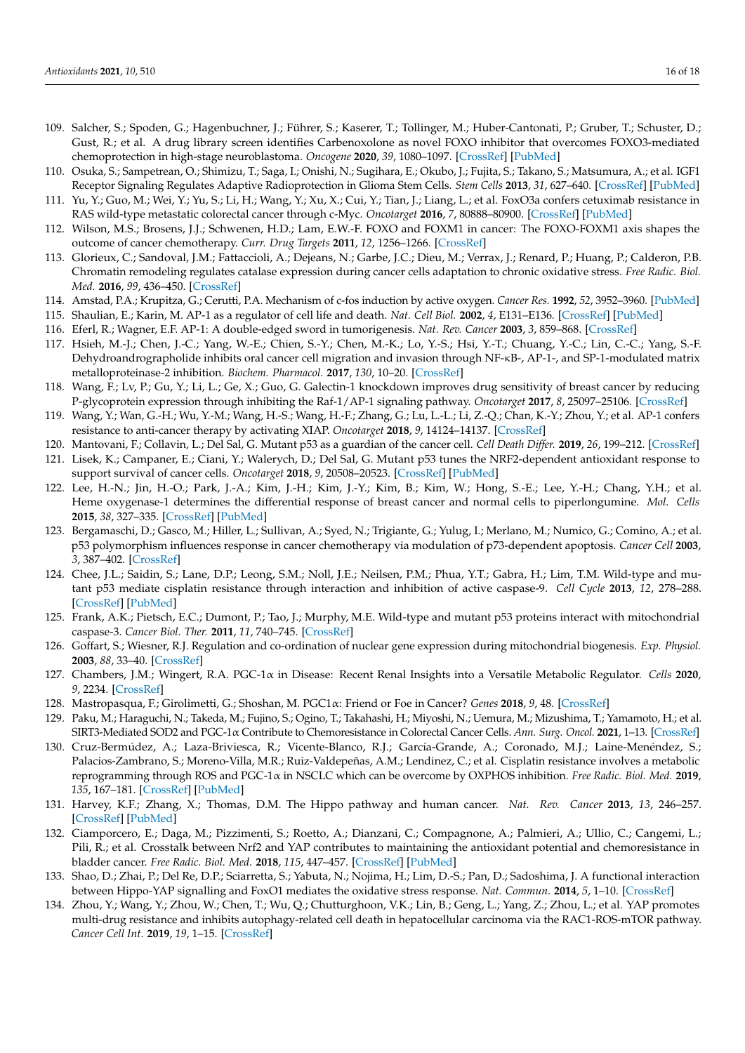- <span id="page-15-0"></span>109. Salcher, S.; Spoden, G.; Hagenbuchner, J.; Führer, S.; Kaserer, T.; Tollinger, M.; Huber-Cantonati, P.; Gruber, T.; Schuster, D.; Gust, R.; et al. A drug library screen identifies Carbenoxolone as novel FOXO inhibitor that overcomes FOXO3-mediated chemoprotection in high-stage neuroblastoma. *Oncogene* **2020**, *39*, 1080–1097. [\[CrossRef\]](http://doi.org/10.1038/s41388-019-1044-7) [\[PubMed\]](http://www.ncbi.nlm.nih.gov/pubmed/31591479)
- <span id="page-15-1"></span>110. Osuka, S.; Sampetrean, O.; Shimizu, T.; Saga, I.; Onishi, N.; Sugihara, E.; Okubo, J.; Fujita, S.; Takano, S.; Matsumura, A.; et al. IGF1 Receptor Signaling Regulates Adaptive Radioprotection in Glioma Stem Cells. *Stem Cells* **2013**, *31*, 627–640. [\[CrossRef\]](http://doi.org/10.1002/stem.1328) [\[PubMed\]](http://www.ncbi.nlm.nih.gov/pubmed/23335250)
- <span id="page-15-2"></span>111. Yu, Y.; Guo, M.; Wei, Y.; Yu, S.; Li, H.; Wang, Y.; Xu, X.; Cui, Y.; Tian, J.; Liang, L.; et al. FoxO3a confers cetuximab resistance in RAS wild-type metastatic colorectal cancer through c-Myc. *Oncotarget* **2016**, *7*, 80888–80900. [\[CrossRef\]](http://doi.org/10.18632/oncotarget.13105) [\[PubMed\]](http://www.ncbi.nlm.nih.gov/pubmed/27825133)
- <span id="page-15-3"></span>112. Wilson, M.S.; Brosens, J.J.; Schwenen, H.D.; Lam, E.W.-F. FOXO and FOXM1 in cancer: The FOXO-FOXM1 axis shapes the outcome of cancer chemotherapy. *Curr. Drug Targets* **2011**, *12*, 1256–1266. [\[CrossRef\]](http://doi.org/10.2174/138945011796150244)
- <span id="page-15-4"></span>113. Glorieux, C.; Sandoval, J.M.; Fattaccioli, A.; Dejeans, N.; Garbe, J.C.; Dieu, M.; Verrax, J.; Renard, P.; Huang, P.; Calderon, P.B. Chromatin remodeling regulates catalase expression during cancer cells adaptation to chronic oxidative stress. *Free Radic. Biol. Med.* **2016**, *99*, 436–450. [\[CrossRef\]](http://doi.org/10.1016/j.freeradbiomed.2016.08.031)
- <span id="page-15-5"></span>114. Amstad, P.A.; Krupitza, G.; Cerutti, P.A. Mechanism of c-fos induction by active oxygen. *Cancer Res.* **1992**, *52*, 3952–3960. [\[PubMed\]](http://www.ncbi.nlm.nih.gov/pubmed/1617671)
- <span id="page-15-6"></span>115. Shaulian, E.; Karin, M. AP-1 as a regulator of cell life and death. *Nat. Cell Biol.* **2002**, *4*, E131–E136. [\[CrossRef\]](http://doi.org/10.1038/ncb0502-e131) [\[PubMed\]](http://www.ncbi.nlm.nih.gov/pubmed/11988758)
- <span id="page-15-7"></span>116. Eferl, R.; Wagner, E.F. AP-1: A double-edged sword in tumorigenesis. *Nat. Rev. Cancer* **2003**, *3*, 859–868. [\[CrossRef\]](http://doi.org/10.1038/nrc1209)
- <span id="page-15-8"></span>117. Hsieh, M.-J.; Chen, J.-C.; Yang, W.-E.; Chien, S.-Y.; Chen, M.-K.; Lo, Y.-S.; Hsi, Y.-T.; Chuang, Y.-C.; Lin, C.-C.; Yang, S.-F. Dehydroandrographolide inhibits oral cancer cell migration and invasion through NF-κB-, AP-1-, and SP-1-modulated matrix metalloproteinase-2 inhibition. *Biochem. Pharmacol.* **2017**, *130*, 10–20. [\[CrossRef\]](http://doi.org/10.1016/j.bcp.2017.01.011)
- <span id="page-15-9"></span>118. Wang, F.; Lv, P.; Gu, Y.; Li, L.; Ge, X.; Guo, G. Galectin-1 knockdown improves drug sensitivity of breast cancer by reducing P-glycoprotein expression through inhibiting the Raf-1/AP-1 signaling pathway. *Oncotarget* **2017**, *8*, 25097–25106. [\[CrossRef\]](http://doi.org/10.18632/oncotarget.15341)
- <span id="page-15-10"></span>119. Wang, Y.; Wan, G.-H.; Wu, Y.-M.; Wang, H.-S.; Wang, H.-F.; Zhang, G.; Lu, L.-L.; Li, Z.-Q.; Chan, K.-Y.; Zhou, Y.; et al. AP-1 confers resistance to anti-cancer therapy by activating XIAP. *Oncotarget* **2018**, *9*, 14124–14137. [\[CrossRef\]](http://doi.org/10.18632/oncotarget.23897)
- <span id="page-15-11"></span>120. Mantovani, F.; Collavin, L.; Del Sal, G. Mutant p53 as a guardian of the cancer cell. *Cell Death Differ.* **2019**, *26*, 199–212. [\[CrossRef\]](http://doi.org/10.1038/s41418-018-0246-9)
- <span id="page-15-12"></span>121. Lisek, K.; Campaner, E.; Ciani, Y.; Walerych, D.; Del Sal, G. Mutant p53 tunes the NRF2-dependent antioxidant response to support survival of cancer cells. *Oncotarget* **2018**, *9*, 20508–20523. [\[CrossRef\]](http://doi.org/10.18632/oncotarget.24974) [\[PubMed\]](http://www.ncbi.nlm.nih.gov/pubmed/29755668)
- <span id="page-15-13"></span>122. Lee, H.-N.; Jin, H.-O.; Park, J.-A.; Kim, J.-H.; Kim, J.-Y.; Kim, B.; Kim, W.; Hong, S.-E.; Lee, Y.-H.; Chang, Y.H.; et al. Heme oxygenase-1 determines the differential response of breast cancer and normal cells to piperlongumine. *Mol. Cells* **2015**, *38*, 327–335. [\[CrossRef\]](http://doi.org/10.14348/molcells.2015.2235) [\[PubMed\]](http://www.ncbi.nlm.nih.gov/pubmed/25813625)
- <span id="page-15-14"></span>123. Bergamaschi, D.; Gasco, M.; Hiller, L.; Sullivan, A.; Syed, N.; Trigiante, G.; Yulug, I.; Merlano, M.; Numico, G.; Comino, A.; et al. p53 polymorphism influences response in cancer chemotherapy via modulation of p73-dependent apoptosis. *Cancer Cell* **2003**, *3*, 387–402. [\[CrossRef\]](http://doi.org/10.1016/S1535-6108(03)00079-5)
- <span id="page-15-15"></span>124. Chee, J.L.; Saidin, S.; Lane, D.P.; Leong, S.M.; Noll, J.E.; Neilsen, P.M.; Phua, Y.T.; Gabra, H.; Lim, T.M. Wild-type and mutant p53 mediate cisplatin resistance through interaction and inhibition of active caspase-9. *Cell Cycle* **2013**, *12*, 278–288. [\[CrossRef\]](http://doi.org/10.4161/cc.23054) [\[PubMed\]](http://www.ncbi.nlm.nih.gov/pubmed/23255126)
- <span id="page-15-16"></span>125. Frank, A.K.; Pietsch, E.C.; Dumont, P.; Tao, J.; Murphy, M.E. Wild-type and mutant p53 proteins interact with mitochondrial caspase-3. *Cancer Biol. Ther.* **2011**, *11*, 740–745. [\[CrossRef\]](http://doi.org/10.4161/cbt.11.8.14906)
- <span id="page-15-17"></span>126. Goffart, S.; Wiesner, R.J. Regulation and co-ordination of nuclear gene expression during mitochondrial biogenesis. *Exp. Physiol.* **2003**, *88*, 33–40. [\[CrossRef\]](http://doi.org/10.1113/eph8802500)
- <span id="page-15-18"></span>127. Chambers, J.M.; Wingert, R.A. PGC-1α in Disease: Recent Renal Insights into a Versatile Metabolic Regulator. *Cells* **2020**, *9*, 2234. [\[CrossRef\]](http://doi.org/10.3390/cells9102234)
- <span id="page-15-19"></span>128. Mastropasqua, F.; Girolimetti, G.; Shoshan, M. PGC1α: Friend or Foe in Cancer? *Genes* **2018**, *9*, 48. [\[CrossRef\]](http://doi.org/10.3390/genes9010048)
- <span id="page-15-20"></span>129. Paku, M.; Haraguchi, N.; Takeda, M.; Fujino, S.; Ogino, T.; Takahashi, H.; Miyoshi, N.; Uemura, M.; Mizushima, T.; Yamamoto, H.; et al. SIRT3-Mediated SOD2 and PGC-1α Contribute to Chemoresistance in Colorectal Cancer Cells. *Ann. Surg. Oncol.* **2021**, 1–13. [\[CrossRef\]](http://doi.org/10.1245/s10434-020-09373-x)
- <span id="page-15-21"></span>130. Cruz-Bermúdez, A.; Laza-Briviesca, R.; Vicente-Blanco, R.J.; García-Grande, A.; Coronado, M.J.; Laine-Menéndez, S.; Palacios-Zambrano, S.; Moreno-Villa, M.R.; Ruiz-Valdepeñas, A.M.; Lendinez, C.; et al. Cisplatin resistance involves a metabolic reprogramming through ROS and PGC-1α in NSCLC which can be overcome by OXPHOS inhibition. *Free Radic. Biol. Med.* **2019**, *135*, 167–181. [\[CrossRef\]](http://doi.org/10.1016/j.freeradbiomed.2019.03.009) [\[PubMed\]](http://www.ncbi.nlm.nih.gov/pubmed/30880247)
- <span id="page-15-22"></span>131. Harvey, K.F.; Zhang, X.; Thomas, D.M. The Hippo pathway and human cancer. *Nat. Rev. Cancer* **2013**, *13*, 246–257. [\[CrossRef\]](http://doi.org/10.1038/nrc3458) [\[PubMed\]](http://www.ncbi.nlm.nih.gov/pubmed/23467301)
- <span id="page-15-23"></span>132. Ciamporcero, E.; Daga, M.; Pizzimenti, S.; Roetto, A.; Dianzani, C.; Compagnone, A.; Palmieri, A.; Ullio, C.; Cangemi, L.; Pili, R.; et al. Crosstalk between Nrf2 and YAP contributes to maintaining the antioxidant potential and chemoresistance in bladder cancer. *Free Radic. Biol. Med.* **2018**, *115*, 447–457. [\[CrossRef\]](http://doi.org/10.1016/j.freeradbiomed.2017.12.005) [\[PubMed\]](http://www.ncbi.nlm.nih.gov/pubmed/29248722)
- <span id="page-15-24"></span>133. Shao, D.; Zhai, P.; Del Re, D.P.; Sciarretta, S.; Yabuta, N.; Nojima, H.; Lim, D.-S.; Pan, D.; Sadoshima, J. A functional interaction between Hippo-YAP signalling and FoxO1 mediates the oxidative stress response. *Nat. Commun.* **2014**, *5*, 1–10. [\[CrossRef\]](http://doi.org/10.1038/ncomms4315)
- <span id="page-15-25"></span>134. Zhou, Y.; Wang, Y.; Zhou, W.; Chen, T.; Wu, Q.; Chutturghoon, V.K.; Lin, B.; Geng, L.; Yang, Z.; Zhou, L.; et al. YAP promotes multi-drug resistance and inhibits autophagy-related cell death in hepatocellular carcinoma via the RAC1-ROS-mTOR pathway. *Cancer Cell Int.* **2019**, *19*, 1–15. [\[CrossRef\]](http://doi.org/10.1186/s12935-019-0898-7)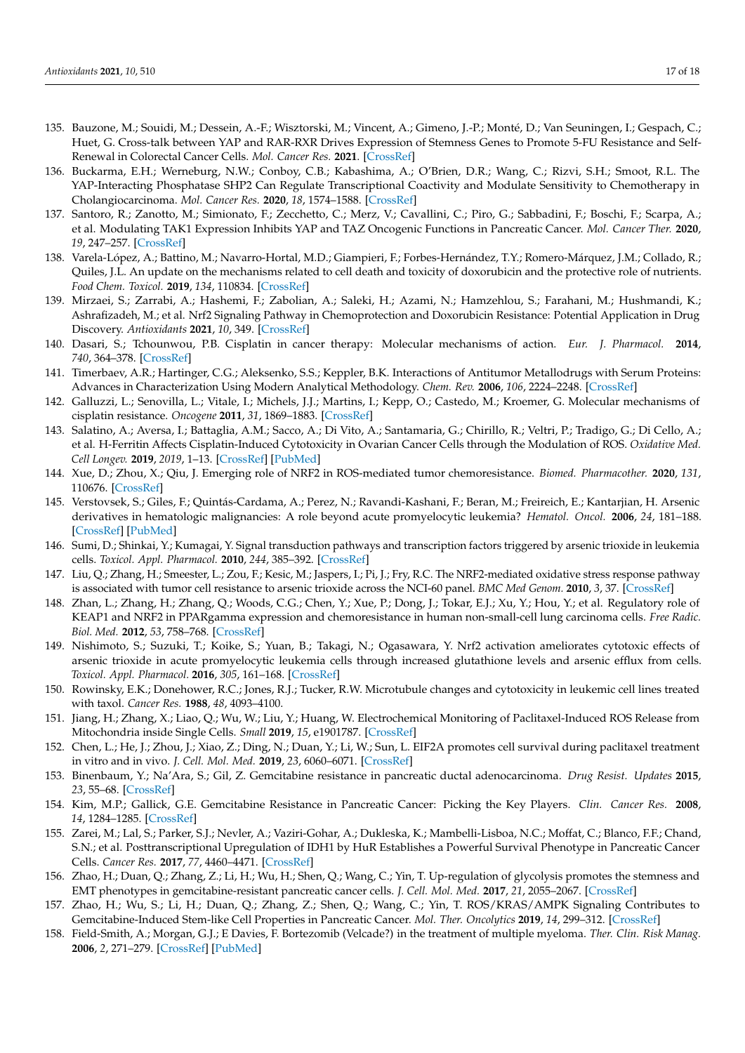- <span id="page-16-0"></span>135. Bauzone, M.; Souidi, M.; Dessein, A.-F.; Wisztorski, M.; Vincent, A.; Gimeno, J.-P.; Monté, D.; Van Seuningen, I.; Gespach, C.; Huet, G. Cross-talk between YAP and RAR-RXR Drives Expression of Stemness Genes to Promote 5-FU Resistance and Self-Renewal in Colorectal Cancer Cells. *Mol. Cancer Res.* **2021**. [\[CrossRef\]](http://doi.org/10.1158/1541-7786.MCR-20-0462)
- <span id="page-16-1"></span>136. Buckarma, E.H.; Werneburg, N.W.; Conboy, C.B.; Kabashima, A.; O'Brien, D.R.; Wang, C.; Rizvi, S.H.; Smoot, R.L. The YAP-Interacting Phosphatase SHP2 Can Regulate Transcriptional Coactivity and Modulate Sensitivity to Chemotherapy in Cholangiocarcinoma. *Mol. Cancer Res.* **2020**, *18*, 1574–1588. [\[CrossRef\]](http://doi.org/10.1158/1541-7786.MCR-20-0165)
- <span id="page-16-2"></span>137. Santoro, R.; Zanotto, M.; Simionato, F.; Zecchetto, C.; Merz, V.; Cavallini, C.; Piro, G.; Sabbadini, F.; Boschi, F.; Scarpa, A.; et al. Modulating TAK1 Expression Inhibits YAP and TAZ Oncogenic Functions in Pancreatic Cancer. *Mol. Cancer Ther.* **2020**, *19*, 247–257. [\[CrossRef\]](http://doi.org/10.1158/1535-7163.MCT-19-0270)
- <span id="page-16-3"></span>138. Varela-López, A.; Battino, M.; Navarro-Hortal, M.D.; Giampieri, F.; Forbes-Hernández, T.Y.; Romero-Márquez, J.M.; Collado, R.; Quiles, J.L. An update on the mechanisms related to cell death and toxicity of doxorubicin and the protective role of nutrients. *Food Chem. Toxicol.* **2019**, *134*, 110834. [\[CrossRef\]](http://doi.org/10.1016/j.fct.2019.110834)
- <span id="page-16-4"></span>139. Mirzaei, S.; Zarrabi, A.; Hashemi, F.; Zabolian, A.; Saleki, H.; Azami, N.; Hamzehlou, S.; Farahani, M.; Hushmandi, K.; Ashrafizadeh, M.; et al. Nrf2 Signaling Pathway in Chemoprotection and Doxorubicin Resistance: Potential Application in Drug Discovery. *Antioxidants* **2021**, *10*, 349. [\[CrossRef\]](http://doi.org/10.3390/antiox10030349)
- <span id="page-16-5"></span>140. Dasari, S.; Tchounwou, P.B. Cisplatin in cancer therapy: Molecular mechanisms of action. *Eur. J. Pharmacol.* **2014**, *740*, 364–378. [\[CrossRef\]](http://doi.org/10.1016/j.ejphar.2014.07.025)
- <span id="page-16-6"></span>141. Timerbaev, A.R.; Hartinger, C.G.; Aleksenko, S.S.; Keppler, B.K. Interactions of Antitumor Metallodrugs with Serum Proteins: Advances in Characterization Using Modern Analytical Methodology. *Chem. Rev.* **2006**, *106*, 2224–2248. [\[CrossRef\]](http://doi.org/10.1021/cr040704h)
- <span id="page-16-7"></span>142. Galluzzi, L.; Senovilla, L.; Vitale, I.; Michels, J.J.; Martins, I.; Kepp, O.; Castedo, M.; Kroemer, G. Molecular mechanisms of cisplatin resistance. *Oncogene* **2011**, *31*, 1869–1883. [\[CrossRef\]](http://doi.org/10.1038/onc.2011.384)
- <span id="page-16-8"></span>143. Salatino, A.; Aversa, I.; Battaglia, A.M.; Sacco, A.; Di Vito, A.; Santamaria, G.; Chirillo, R.; Veltri, P.; Tradigo, G.; Di Cello, A.; et al. H-Ferritin Affects Cisplatin-Induced Cytotoxicity in Ovarian Cancer Cells through the Modulation of ROS. *Oxidative Med. Cell Longev.* **2019**, *2019*, 1–13. [\[CrossRef\]](http://doi.org/10.1155/2019/3461251) [\[PubMed\]](http://www.ncbi.nlm.nih.gov/pubmed/31781333)
- <span id="page-16-9"></span>144. Xue, D.; Zhou, X.; Qiu, J. Emerging role of NRF2 in ROS-mediated tumor chemoresistance. *Biomed. Pharmacother.* **2020**, *131*, 110676. [\[CrossRef\]](http://doi.org/10.1016/j.biopha.2020.110676)
- <span id="page-16-10"></span>145. Verstovsek, S.; Giles, F.; Quintás-Cardama, A.; Perez, N.; Ravandi-Kashani, F.; Beran, M.; Freireich, E.; Kantarjian, H. Arsenic derivatives in hematologic malignancies: A role beyond acute promyelocytic leukemia? *Hematol. Oncol.* **2006**, *24*, 181–188. [\[CrossRef\]](http://doi.org/10.1002/hon.787) [\[PubMed\]](http://www.ncbi.nlm.nih.gov/pubmed/16783836)
- <span id="page-16-11"></span>146. Sumi, D.; Shinkai, Y.; Kumagai, Y. Signal transduction pathways and transcription factors triggered by arsenic trioxide in leukemia cells. *Toxicol. Appl. Pharmacol.* **2010**, *244*, 385–392. [\[CrossRef\]](http://doi.org/10.1016/j.taap.2010.02.012)
- <span id="page-16-12"></span>147. Liu, Q.; Zhang, H.; Smeester, L.; Zou, F.; Kesic, M.; Jaspers, I.; Pi, J.; Fry, R.C. The NRF2-mediated oxidative stress response pathway is associated with tumor cell resistance to arsenic trioxide across the NCI-60 panel. *BMC Med Genom.* **2010**, *3*, 37. [\[CrossRef\]](http://doi.org/10.1186/1755-8794-3-37)
- <span id="page-16-13"></span>148. Zhan, L.; Zhang, H.; Zhang, Q.; Woods, C.G.; Chen, Y.; Xue, P.; Dong, J.; Tokar, E.J.; Xu, Y.; Hou, Y.; et al. Regulatory role of KEAP1 and NRF2 in PPARgamma expression and chemoresistance in human non-small-cell lung carcinoma cells. *Free Radic. Biol. Med.* **2012**, *53*, 758–768. [\[CrossRef\]](http://doi.org/10.1016/j.freeradbiomed.2012.05.041)
- <span id="page-16-14"></span>149. Nishimoto, S.; Suzuki, T.; Koike, S.; Yuan, B.; Takagi, N.; Ogasawara, Y. Nrf2 activation ameliorates cytotoxic effects of arsenic trioxide in acute promyelocytic leukemia cells through increased glutathione levels and arsenic efflux from cells. *Toxicol. Appl. Pharmacol.* **2016**, *305*, 161–168. [\[CrossRef\]](http://doi.org/10.1016/j.taap.2016.06.017)
- <span id="page-16-15"></span>150. Rowinsky, E.K.; Donehower, R.C.; Jones, R.J.; Tucker, R.W. Microtubule changes and cytotoxicity in leukemic cell lines treated with taxol. *Cancer Res.* **1988**, *48*, 4093–4100.
- <span id="page-16-16"></span>151. Jiang, H.; Zhang, X.; Liao, Q.; Wu, W.; Liu, Y.; Huang, W. Electrochemical Monitoring of Paclitaxel-Induced ROS Release from Mitochondria inside Single Cells. *Small* **2019**, *15*, e1901787. [\[CrossRef\]](http://doi.org/10.1002/smll.201901787)
- <span id="page-16-17"></span>152. Chen, L.; He, J.; Zhou, J.; Xiao, Z.; Ding, N.; Duan, Y.; Li, W.; Sun, L. EIF2A promotes cell survival during paclitaxel treatment in vitro and in vivo. *J. Cell. Mol. Med.* **2019**, *23*, 6060–6071. [\[CrossRef\]](http://doi.org/10.1111/jcmm.14469)
- <span id="page-16-18"></span>153. Binenbaum, Y.; Na'Ara, S.; Gil, Z. Gemcitabine resistance in pancreatic ductal adenocarcinoma. *Drug Resist. Updates* **2015**, *23*, 55–68. [\[CrossRef\]](http://doi.org/10.1016/j.drup.2015.10.002)
- <span id="page-16-19"></span>154. Kim, M.P.; Gallick, G.E. Gemcitabine Resistance in Pancreatic Cancer: Picking the Key Players. *Clin. Cancer Res.* **2008**, *14*, 1284–1285. [\[CrossRef\]](http://doi.org/10.1158/1078-0432.CCR-07-2247)
- <span id="page-16-20"></span>155. Zarei, M.; Lal, S.; Parker, S.J.; Nevler, A.; Vaziri-Gohar, A.; Dukleska, K.; Mambelli-Lisboa, N.C.; Moffat, C.; Blanco, F.F.; Chand, S.N.; et al. Posttranscriptional Upregulation of IDH1 by HuR Establishes a Powerful Survival Phenotype in Pancreatic Cancer Cells. *Cancer Res.* **2017**, *77*, 4460–4471. [\[CrossRef\]](http://doi.org/10.1158/0008-5472.CAN-17-0015)
- <span id="page-16-21"></span>156. Zhao, H.; Duan, Q.; Zhang, Z.; Li, H.; Wu, H.; Shen, Q.; Wang, C.; Yin, T. Up-regulation of glycolysis promotes the stemness and EMT phenotypes in gemcitabine-resistant pancreatic cancer cells. *J. Cell. Mol. Med.* **2017**, *21*, 2055–2067. [\[CrossRef\]](http://doi.org/10.1111/jcmm.13126)
- <span id="page-16-22"></span>157. Zhao, H.; Wu, S.; Li, H.; Duan, Q.; Zhang, Z.; Shen, Q.; Wang, C.; Yin, T. ROS/KRAS/AMPK Signaling Contributes to Gemcitabine-Induced Stem-like Cell Properties in Pancreatic Cancer. *Mol. Ther. Oncolytics* **2019**, *14*, 299–312. [\[CrossRef\]](http://doi.org/10.1016/j.omto.2019.07.005)
- <span id="page-16-23"></span>158. Field-Smith, A.; Morgan, G.J.; E Davies, F. Bortezomib (Velcade?) in the treatment of multiple myeloma. *Ther. Clin. Risk Manag.* **2006**, *2*, 271–279. [\[CrossRef\]](http://doi.org/10.2147/tcrm.2006.2.3.271) [\[PubMed\]](http://www.ncbi.nlm.nih.gov/pubmed/18360602)